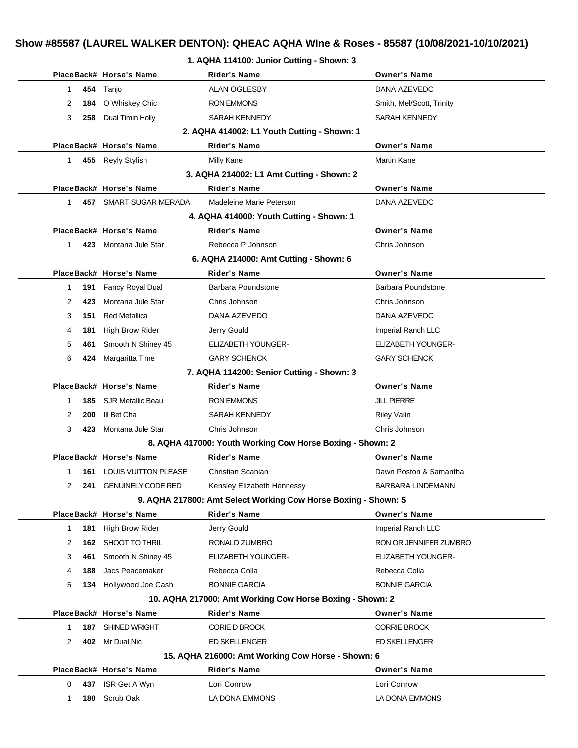# **Show #85587 (LAUREL WALKER DENTON): QHEAC AQHA WIne & Roses - 85587 (10/08/2021-10/10/2021)**

|              |     |                                           | 1. AQHA 114100: Junior Cutting - Shown: 3                      |                           |
|--------------|-----|-------------------------------------------|----------------------------------------------------------------|---------------------------|
|              |     | PlaceBack# Horse's Name                   | <b>Rider's Name</b>                                            | <b>Owner's Name</b>       |
| 1            | 454 | Tanjo                                     | ALAN OGLESBY                                                   | DANA AZEVEDO              |
| 2            |     | 184 O Whiskey Chic                        | <b>RON EMMONS</b>                                              | Smith, Mel/Scott, Trinity |
| 3            | 258 | Dual Timin Holly                          | <b>SARAH KENNEDY</b>                                           | SARAH KENNEDY             |
|              |     |                                           | 2. AQHA 414002: L1 Youth Cutting - Shown: 1                    |                           |
|              |     | PlaceBack# Horse's Name                   | <b>Rider's Name</b>                                            | <b>Owner's Name</b>       |
| $\mathbf 1$  |     | 455 Reyly Stylish                         | Milly Kane                                                     | <b>Martin Kane</b>        |
|              |     |                                           | 3. AQHA 214002: L1 Amt Cutting - Shown: 2                      |                           |
|              |     | PlaceBack# Horse's Name                   | <b>Rider's Name</b>                                            | <b>Owner's Name</b>       |
| $\mathbf{1}$ | 457 | SMART SUGAR MERADA                        | Madeleine Marie Peterson                                       | DANA AZEVEDO              |
|              |     |                                           | 4. AQHA 414000: Youth Cutting - Shown: 1                       |                           |
|              |     | PlaceBack# Horse's Name                   | <b>Rider's Name</b>                                            | <b>Owner's Name</b>       |
| $\mathbf{1}$ |     | 423 Montana Jule Star                     | Rebecca P Johnson                                              | Chris Johnson             |
|              |     |                                           | 6. AQHA 214000: Amt Cutting - Shown: 6                         |                           |
|              |     | PlaceBack# Horse's Name                   | <b>Rider's Name</b>                                            | <b>Owner's Name</b>       |
| 1            | 191 | Fancy Royal Dual                          | Barbara Poundstone                                             | Barbara Poundstone        |
| 2            | 423 | Montana Jule Star                         | Chris Johnson                                                  | Chris Johnson             |
| 3            | 151 | <b>Red Metallica</b>                      | DANA AZEVEDO                                                   | DANA AZEVEDO              |
| 4            | 181 | High Brow Rider                           | Jerry Gould                                                    | Imperial Ranch LLC        |
| 5            | 461 | Smooth N Shiney 45                        | ELIZABETH YOUNGER-                                             | <b>ELIZABETH YOUNGER-</b> |
| 6            | 424 | Margaritta Time                           | <b>GARY SCHENCK</b>                                            | <b>GARY SCHENCK</b>       |
|              |     | 7. AQHA 114200: Senior Cutting - Shown: 3 |                                                                |                           |
|              |     | PlaceBack# Horse's Name                   | Rider's Name                                                   | <b>Owner's Name</b>       |
| 1            | 185 | <b>SJR Metallic Beau</b>                  | <b>RON EMMONS</b>                                              | <b>JILL PIERRE</b>        |
| 2            | 200 | III Bet Cha                               | <b>SARAH KENNEDY</b>                                           | <b>Riley Valin</b>        |
| 3            | 423 | Montana Jule Star                         | Chris Johnson                                                  | Chris Johnson             |
|              |     |                                           | 8. AQHA 417000: Youth Working Cow Horse Boxing - Shown: 2      |                           |
|              |     | PlaceBack# Horse's Name                   | <b>Rider's Name</b>                                            | <b>Owner's Name</b>       |
| 1            |     | <b>161 LOUIS VUITTON PLEASE</b>           | Christian Scanlan                                              | Dawn Poston & Samantha    |
| 2            | 241 | <b>GENUINELY CODE RED</b>                 | Kensley Elizabeth Hennessy                                     | BARBARA LINDEMANN         |
|              |     |                                           | 9. AQHA 217800: Amt Select Working Cow Horse Boxing - Shown: 5 |                           |
|              |     | PlaceBack# Horse's Name                   | <b>Rider's Name</b>                                            | <b>Owner's Name</b>       |
| 1            | 181 | High Brow Rider                           | Jerry Gould                                                    | Imperial Ranch LLC        |
| 2            | 162 | SHOOT TO THRIL                            | RONALD ZUMBRO                                                  | RON OR JENNIFER ZUMBRO    |
| 3            | 461 | Smooth N Shiney 45                        | <b>ELIZABETH YOUNGER-</b>                                      | ELIZABETH YOUNGER-        |
| 4            | 188 | Jacs Peacemaker                           | Rebecca Colla                                                  | Rebecca Colla             |
| 5            | 134 | Hollywood Joe Cash                        | <b>BONNIE GARCIA</b>                                           | <b>BONNIE GARCIA</b>      |
|              |     |                                           | 10. AQHA 217000: Amt Working Cow Horse Boxing - Shown: 2       |                           |
|              |     | PlaceBack# Horse's Name                   | <b>Rider's Name</b>                                            | <b>Owner's Name</b>       |
| $\mathbf 1$  | 187 | SHINED WRIGHT                             | <b>CORIE D BROCK</b>                                           | <b>CORRIE BROCK</b>       |
| 2            |     | 402 Mr Dual Nic                           | <b>ED SKELLENGER</b>                                           | <b>ED SKELLENGER</b>      |
|              |     |                                           | 15. AQHA 216000: Amt Working Cow Horse - Shown: 6              |                           |
|              |     | PlaceBack# Horse's Name                   | <b>Rider's Name</b>                                            | <b>Owner's Name</b>       |
| 0            | 437 | ISR Get A Wyn                             | Lori Conrow                                                    | Lori Conrow               |
| 1            | 180 | Scrub Oak                                 | LA DONA EMMONS                                                 | LA DONA EMMONS            |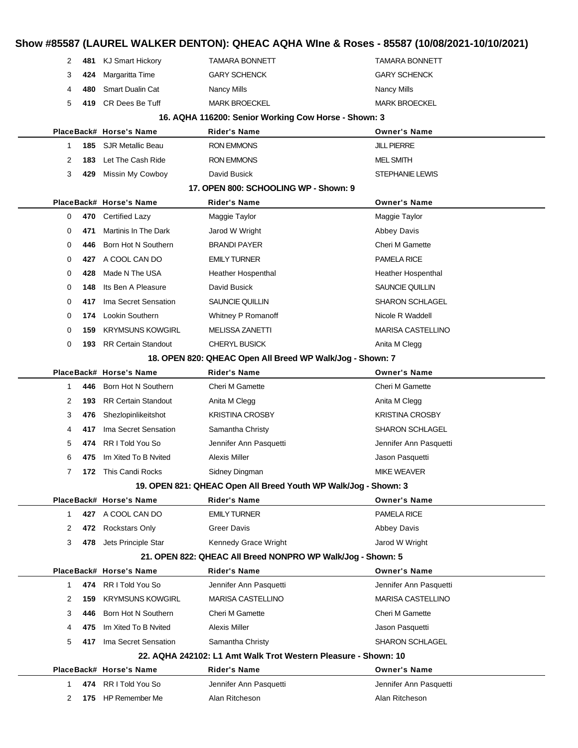# **Show #85587 (LAUREL WALKER DENTON): QHEAC AQHA WIne & Roses - 85587 (10/08/2021-10/10/2021)**

| 2            | 481 | <b>KJ Smart Hickory</b>                                         | <b>TAMARA BONNETT</b>                                          | <b>TAMARA BONNETT</b>    |
|--------------|-----|-----------------------------------------------------------------|----------------------------------------------------------------|--------------------------|
| 3            | 424 | Margaritta Time                                                 | <b>GARY SCHENCK</b>                                            | <b>GARY SCHENCK</b>      |
| 4            | 480 | <b>Smart Dualin Cat</b>                                         | <b>Nancy Mills</b>                                             | <b>Nancy Mills</b>       |
| 5            | 419 | CR Dees Be Tuff                                                 | <b>MARK BROECKEL</b>                                           | <b>MARK BROECKEL</b>     |
|              |     |                                                                 | 16. AQHA 116200: Senior Working Cow Horse - Shown: 3           |                          |
|              |     | PlaceBack# Horse's Name                                         | <b>Rider's Name</b>                                            | <b>Owner's Name</b>      |
| 1            | 185 | <b>SJR Metallic Beau</b>                                        | <b>RON EMMONS</b>                                              | <b>JILL PIERRE</b>       |
| 2            | 183 | Let The Cash Ride                                               | <b>RON EMMONS</b>                                              | <b>MEL SMITH</b>         |
| 3            | 429 | Missin My Cowboy                                                | David Busick                                                   | <b>STEPHANIE LEWIS</b>   |
|              |     |                                                                 | 17. OPEN 800: SCHOOLING WP - Shown: 9                          |                          |
|              |     | PlaceBack# Horse's Name                                         | <b>Rider's Name</b>                                            | <b>Owner's Name</b>      |
| 0            | 470 | Certified Lazy                                                  | Maggie Taylor                                                  | Maggie Taylor            |
| 0            | 471 | Martinis In The Dark                                            | Jarod W Wright                                                 | <b>Abbey Davis</b>       |
| 0            | 446 | Born Hot N Southern                                             | <b>BRANDI PAYER</b>                                            | Cheri M Gamette          |
| 0            | 427 | A COOL CAN DO                                                   | <b>EMILY TURNER</b>                                            | PAMELA RICE              |
| 0            | 428 | Made N The USA                                                  | Heather Hospenthal                                             | Heather Hospenthal       |
| 0            | 148 | Its Ben A Pleasure                                              | David Busick                                                   | SAUNCIE QUILLIN          |
| 0            | 417 | Ima Secret Sensation                                            | SAUNCIE QUILLIN                                                | <b>SHARON SCHLAGEL</b>   |
| 0            | 174 | Lookin Southern                                                 | Whitney P Romanoff                                             | Nicole R Waddell         |
| 0            | 159 | <b>KRYMSUNS KOWGIRL</b>                                         | <b>MELISSA ZANETTI</b>                                         | <b>MARISA CASTELLINO</b> |
| 0            | 193 | <b>RR Certain Standout</b>                                      | <b>CHERYL BUSICK</b>                                           | Anita M Clegg            |
|              |     |                                                                 | 18. OPEN 820: QHEAC Open All Breed WP Walk/Jog - Shown: 7      |                          |
|              |     | PlaceBack# Horse's Name                                         | <b>Rider's Name</b>                                            | <b>Owner's Name</b>      |
| 1            | 446 | Born Hot N Southern                                             | <b>Cheri M Gamette</b>                                         | Cheri M Gamette          |
| 2            | 193 | <b>RR Certain Standout</b>                                      | Anita M Clegg                                                  | Anita M Clegg            |
| 3            | 476 | Shezlopinlikeitshot                                             | <b>KRISTINA CROSBY</b>                                         | <b>KRISTINA CROSBY</b>   |
| 4            | 417 | Ima Secret Sensation                                            | Samantha Christy                                               | <b>SHARON SCHLAGEL</b>   |
| 5            | 474 | RR I Told You So                                                | Jennifer Ann Pasquetti                                         | Jennifer Ann Pasquetti   |
| 6            | 475 | Im Xited To B Nyited                                            | Alexis Miller                                                  | Jason Pasquetti          |
| 7            |     | 172 This Candi Rocks                                            | Sidney Dingman                                                 | <b>MIKE WEAVER</b>       |
|              |     | 19. OPEN 821: QHEAC Open All Breed Youth WP Walk/Jog - Shown: 3 |                                                                |                          |
|              |     | PlaceBack# Horse's Name                                         | <b>Rider's Name</b>                                            | <b>Owner's Name</b>      |
| $\mathbf{1}$ |     | 427 A COOL CAN DO                                               | <b>EMILY TURNER</b>                                            | PAMELA RICE              |
| 2            |     | 472 Rockstars Only                                              | <b>Greer Davis</b>                                             | Abbey Davis              |
| 3            | 478 | Jets Principle Star                                             | Kennedy Grace Wright                                           | Jarod W Wright           |
|              |     |                                                                 | 21. OPEN 822: QHEAC All Breed NONPRO WP Walk/Jog - Shown: 5    |                          |
|              |     | PlaceBack# Horse's Name                                         | <b>Rider's Name</b>                                            | <b>Owner's Name</b>      |
| $\mathbf{1}$ |     | 474 RR I Told You So                                            | Jennifer Ann Pasquetti                                         | Jennifer Ann Pasquetti   |
| 2            | 159 | <b>KRYMSUNS KOWGIRL</b>                                         | <b>MARISA CASTELLINO</b>                                       | <b>MARISA CASTELLINO</b> |
| 3            | 446 | Born Hot N Southern                                             | <b>Cheri M Gamette</b>                                         | Cheri M Gamette          |
| 4            | 475 | Im Xited To B Nvited                                            | Alexis Miller                                                  | Jason Pasquetti          |
| 5            | 417 | Ima Secret Sensation                                            | Samantha Christy                                               | <b>SHARON SCHLAGEL</b>   |
|              |     |                                                                 | 22. AQHA 242102: L1 Amt Walk Trot Western Pleasure - Shown: 10 |                          |
|              |     | PlaceBack# Horse's Name                                         | <b>Rider's Name</b>                                            | <b>Owner's Name</b>      |
| 1            |     | 474 RR I Told You So                                            | Jennifer Ann Pasquetti                                         | Jennifer Ann Pasquetti   |
| 2            |     | 175 HP Remember Me                                              | Alan Ritcheson                                                 | Alan Ritcheson           |
|              |     |                                                                 |                                                                |                          |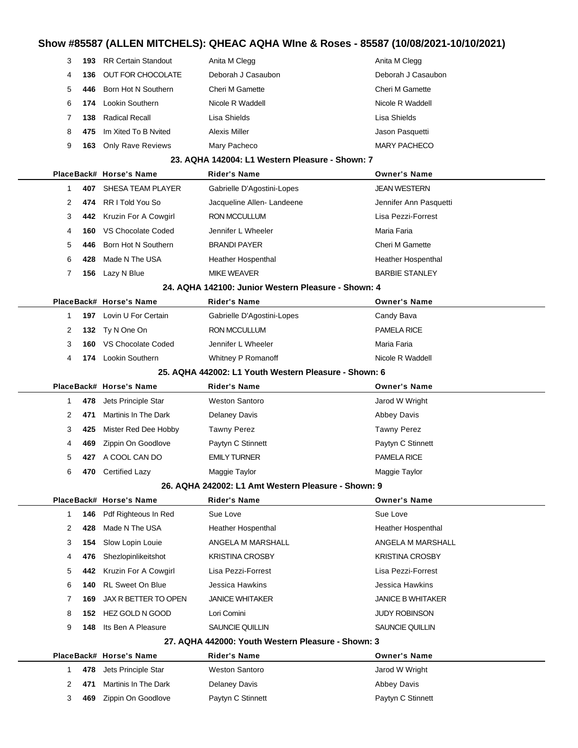|                                                       | 3  | 193  | <b>RR Certain Standout</b> | Anita M Clegg                                       | Anita M Clegg             |  |
|-------------------------------------------------------|----|------|----------------------------|-----------------------------------------------------|---------------------------|--|
|                                                       | 4  | 136  | OUT FOR CHOCOLATE          | Deborah J Casaubon                                  | Deborah J Casaubon        |  |
|                                                       | 5  | 446  | Born Hot N Southern        | <b>Cheri M Gamette</b>                              | <b>Cheri M Gamette</b>    |  |
|                                                       | 6  | 174  | Lookin Southern            | Nicole R Waddell                                    | Nicole R Waddell          |  |
|                                                       | 7  | 138  | <b>Radical Recall</b>      | Lisa Shields                                        | Lisa Shields              |  |
|                                                       | 8  | 475  | Im Xited To B Nvited       | <b>Alexis Miller</b>                                | Jason Pasquetti           |  |
|                                                       | 9  | 163  | <b>Only Rave Reviews</b>   | Mary Pacheco                                        | <b>MARY PACHECO</b>       |  |
|                                                       |    |      |                            | 23. AQHA 142004: L1 Western Pleasure - Shown: 7     |                           |  |
|                                                       |    |      | PlaceBack# Horse's Name    | Rider's Name                                        | <b>Owner's Name</b>       |  |
|                                                       | 1  | 407  | SHESA TEAM PLAYER          | Gabrielle D'Agostini-Lopes                          | <b>JEAN WESTERN</b>       |  |
|                                                       | 2  | 474  | RR I Told You So           | Jacqueline Allen-Landeene                           | Jennifer Ann Pasquetti    |  |
|                                                       | 3  | 442  | Kruzin For A Cowgirl       | RON MCCULLUM                                        | Lisa Pezzi-Forrest        |  |
|                                                       | 4  | 160  | VS Chocolate Coded         | Jennifer L Wheeler                                  | Maria Faria               |  |
|                                                       | 5  | 446  | Born Hot N Southern        | <b>BRANDI PAYER</b>                                 | Cheri M Gamette           |  |
|                                                       | 6  | 428  | Made N The USA             | Heather Hospenthal                                  | Heather Hospenthal        |  |
|                                                       | 7  | 156  | Lazy N Blue                | <b>MIKE WEAVER</b>                                  | <b>BARBIE STANLEY</b>     |  |
|                                                       |    |      |                            | 24. AQHA 142100: Junior Western Pleasure - Shown: 4 |                           |  |
|                                                       |    |      | PlaceBack# Horse's Name    | <b>Rider's Name</b>                                 | <b>Owner's Name</b>       |  |
|                                                       | 1  | 197  | Lovin U For Certain        | Gabrielle D'Agostini-Lopes                          | Candy Bava                |  |
|                                                       | 2  | 132  | Ty N One On                | RON MCCULLUM                                        | <b>PAMELA RICE</b>        |  |
|                                                       | 3  | 160  | VS Chocolate Coded         | Jennifer L Wheeler                                  | Maria Faria               |  |
|                                                       | 4  | 174  | Lookin Southern            | Whitney P Romanoff                                  | Nicole R Waddell          |  |
| 25. AQHA 442002: L1 Youth Western Pleasure - Shown: 6 |    |      |                            |                                                     |                           |  |
|                                                       |    |      |                            |                                                     |                           |  |
|                                                       |    |      | PlaceBack# Horse's Name    | <b>Rider's Name</b>                                 | <b>Owner's Name</b>       |  |
|                                                       | 1  | 478  | Jets Principle Star        | <b>Weston Santoro</b>                               | Jarod W Wright            |  |
|                                                       | 2  | 471  | Martinis In The Dark       | <b>Delaney Davis</b>                                | <b>Abbey Davis</b>        |  |
|                                                       | 3  | 425  | Mister Red Dee Hobby       | <b>Tawny Perez</b>                                  | <b>Tawny Perez</b>        |  |
|                                                       | 4  | 469  | Zippin On Goodlove         | Paytyn C Stinnett                                   | Paytyn C Stinnett         |  |
|                                                       | 5  | 427  | A COOL CAN DO              | <b>EMILY TURNER</b>                                 | <b>PAMELA RICE</b>        |  |
|                                                       | 6  |      | 470 Certified Lazy         | Maggie Taylor                                       | Maggie Taylor             |  |
|                                                       |    |      |                            | 26. AQHA 242002: L1 Amt Western Pleasure - Shown: 9 |                           |  |
|                                                       |    |      | PlaceBack# Horse's Name    | <b>Rider's Name</b>                                 | <b>Owner's Name</b>       |  |
|                                                       | 1. | 146  | Pdf Righteous In Red       | Sue Love                                            | Sue Love                  |  |
|                                                       | 2  | 428  | Made N The USA             | <b>Heather Hospenthal</b>                           | <b>Heather Hospenthal</b> |  |
|                                                       | 3  | 154  | Slow Lopin Louie           | ANGELA M MARSHALL                                   | ANGELA M MARSHALL         |  |
|                                                       | 4  | 476  | Shezlopinlikeitshot        | <b>KRISTINA CROSBY</b>                              | <b>KRISTINA CROSBY</b>    |  |
|                                                       | 5  | 442. | Kruzin For A Cowgirl       | Lisa Pezzi-Forrest                                  | Lisa Pezzi-Forrest        |  |
|                                                       | 6  | 140  | <b>RL Sweet On Blue</b>    | Jessica Hawkins                                     | Jessica Hawkins           |  |
|                                                       | 7  | 169  | JAX R BETTER TO OPEN       | <b>JANICE WHITAKER</b>                              | <b>JANICE B WHITAKER</b>  |  |
|                                                       | 8  | 152  | HEZ GOLD N GOOD            | Lori Comini                                         | <b>JUDY ROBINSON</b>      |  |
|                                                       | 9  | 148  | Its Ben A Pleasure         | SAUNCIE QUILLIN                                     | SAUNCIE QUILLIN           |  |
|                                                       |    |      |                            | 27. AQHA 442000: Youth Western Pleasure - Shown: 3  |                           |  |
|                                                       |    |      | PlaceBack# Horse's Name    | <b>Rider's Name</b>                                 | <b>Owner's Name</b>       |  |
|                                                       | 1  | 478  | Jets Principle Star        | <b>Weston Santoro</b>                               | Jarod W Wright            |  |
|                                                       | 2  | 471  | Martinis In The Dark       | <b>Delaney Davis</b>                                | Abbey Davis               |  |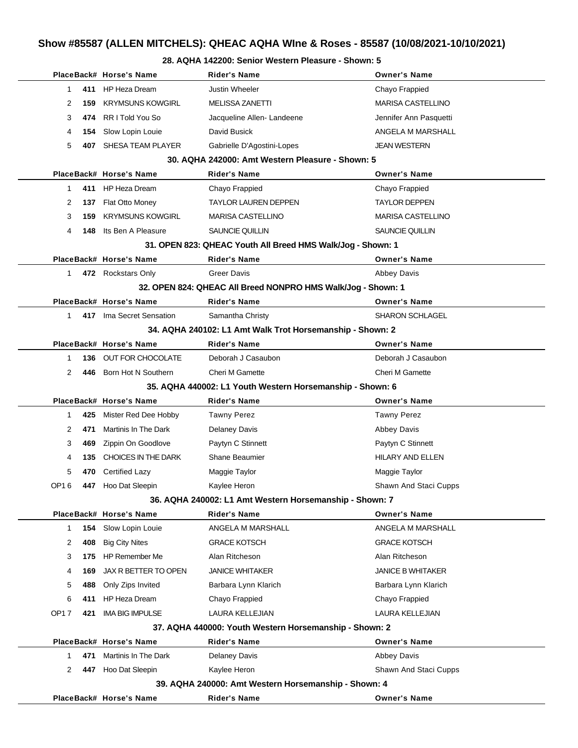#### **28. AQHA 142200: Senior Western Pleasure - Shown: 5**

|                    | PlaceBack# Horse's Name                                 | <b>Rider's Name</b>                                          | <b>Owner's Name</b>      |
|--------------------|---------------------------------------------------------|--------------------------------------------------------------|--------------------------|
| 1<br>411           | HP Heza Dream                                           | <b>Justin Wheeler</b>                                        | Chayo Frappied           |
| 2<br>159           | <b>KRYMSUNS KOWGIRL</b>                                 | MELISSA ZANETTI                                              | <b>MARISA CASTELLINO</b> |
| 3<br>474           | RR I Told You So                                        | Jacqueline Allen-Landeene                                    | Jennifer Ann Pasquetti   |
| 4<br>154           | Slow Lopin Louie                                        | David Busick                                                 | ANGELA M MARSHALL        |
| 5<br>407           | SHESA TEAM PLAYER                                       | Gabrielle D'Agostini-Lopes                                   | <b>JEAN WESTERN</b>      |
|                    |                                                         | 30. AQHA 242000: Amt Western Pleasure - Shown: 5             |                          |
|                    | PlaceBack# Horse's Name                                 | <b>Rider's Name</b>                                          | <b>Owner's Name</b>      |
| 1                  | 411 HP Heza Dream                                       | Chayo Frappied                                               | Chayo Frappied           |
| 2<br>137           | Flat Otto Money                                         | <b>TAYLOR LAUREN DEPPEN</b>                                  | <b>TAYLOR DEPPEN</b>     |
| 3<br>159           | <b>KRYMSUNS KOWGIRL</b>                                 | <b>MARISA CASTELLINO</b>                                     | <b>MARISA CASTELLINO</b> |
| 4<br>148           | Its Ben A Pleasure                                      | SAUNCIE QUILLIN                                              | <b>SAUNCIE QUILLIN</b>   |
|                    |                                                         | 31. OPEN 823: QHEAC Youth All Breed HMS Walk/Jog - Shown: 1  |                          |
|                    | PlaceBack# Horse's Name                                 | <b>Rider's Name</b>                                          | <b>Owner's Name</b>      |
| 1                  | 472 Rockstars Only                                      | <b>Greer Davis</b>                                           | <b>Abbey Davis</b>       |
|                    |                                                         | 32. OPEN 824: QHEAC All Breed NONPRO HMS Walk/Jog - Shown: 1 |                          |
|                    | PlaceBack# Horse's Name                                 | <b>Rider's Name</b>                                          | <b>Owner's Name</b>      |
| 1                  | 417 Ima Secret Sensation                                | Samantha Christy                                             | <b>SHARON SCHLAGEL</b>   |
|                    |                                                         | 34. AQHA 240102: L1 Amt Walk Trot Horsemanship - Shown: 2    |                          |
|                    | PlaceBack# Horse's Name                                 | <b>Rider's Name</b>                                          | <b>Owner's Name</b>      |
| 1<br>136           | OUT FOR CHOCOLATE                                       | Deborah J Casaubon                                           | Deborah J Casaubon       |
| 2<br>446           | Born Hot N Southern                                     | Cheri M Gamette                                              | Cheri M Gamette          |
|                    |                                                         | 35. AQHA 440002: L1 Youth Western Horsemanship - Shown: 6    |                          |
|                    | PlaceBack# Horse's Name                                 | Rider's Name                                                 | <b>Owner's Name</b>      |
| 425<br>1           | Mister Red Dee Hobby                                    | <b>Tawny Perez</b>                                           | <b>Tawny Perez</b>       |
| 2<br>471           | Martinis In The Dark                                    | <b>Delaney Davis</b>                                         | Abbey Davis              |
| 3<br>469           | Zippin On Goodlove                                      | Paytyn C Stinnett                                            | Paytyn C Stinnett        |
| 135<br>4           | CHOICES IN THE DARK                                     | Shane Beaumier                                               | HILARY AND ELLEN         |
| 5<br>470           | <b>Certified Lazy</b>                                   | Maggie Taylor                                                | Maggie Taylor            |
| OP16<br>447        | Hoo Dat Sleepin                                         | Kaylee Heron                                                 | Shawn And Staci Cupps    |
|                    | 36. AQHA 240002: L1 Amt Western Horsemanship - Shown: 7 |                                                              |                          |
|                    | PlaceBack# Horse's Name                                 | <b>Rider's Name</b>                                          | <b>Owner's Name</b>      |
| 1<br>154           | Slow Lopin Louie                                        | ANGELA M MARSHALL                                            | ANGELA M MARSHALL        |
| 2<br>408           | <b>Big City Nites</b>                                   | <b>GRACE KOTSCH</b>                                          | <b>GRACE KOTSCH</b>      |
| 3<br>175           | <b>HP Remember Me</b>                                   | Alan Ritcheson                                               | Alan Ritcheson           |
| 4<br>169           | JAX R BETTER TO OPEN                                    | <b>JANICE WHITAKER</b>                                       | <b>JANICE B WHITAKER</b> |
| 5<br>488           | Only Zips Invited                                       | Barbara Lynn Klarich                                         | Barbara Lynn Klarich     |
| 6<br>411           | <b>HP Heza Dream</b>                                    | Chayo Frappied                                               | Chayo Frappied           |
| <b>OP17</b><br>421 | <b>IMA BIG IMPULSE</b>                                  | LAURA KELLEJIAN                                              | <b>LAURA KELLEJIAN</b>   |
|                    |                                                         | 37. AQHA 440000: Youth Western Horsemanship - Shown: 2       |                          |
|                    | PlaceBack# Horse's Name                                 | <b>Rider's Name</b>                                          | <b>Owner's Name</b>      |
| 471<br>1           | Martinis In The Dark                                    | <b>Delaney Davis</b>                                         | <b>Abbey Davis</b>       |
| 2<br>447           | Hoo Dat Sleepin                                         | Kaylee Heron                                                 | Shawn And Staci Cupps    |
|                    |                                                         | 39. AQHA 240000: Amt Western Horsemanship - Shown: 4         |                          |
|                    | PlaceBack# Horse's Name                                 | <b>Rider's Name</b>                                          | <b>Owner's Name</b>      |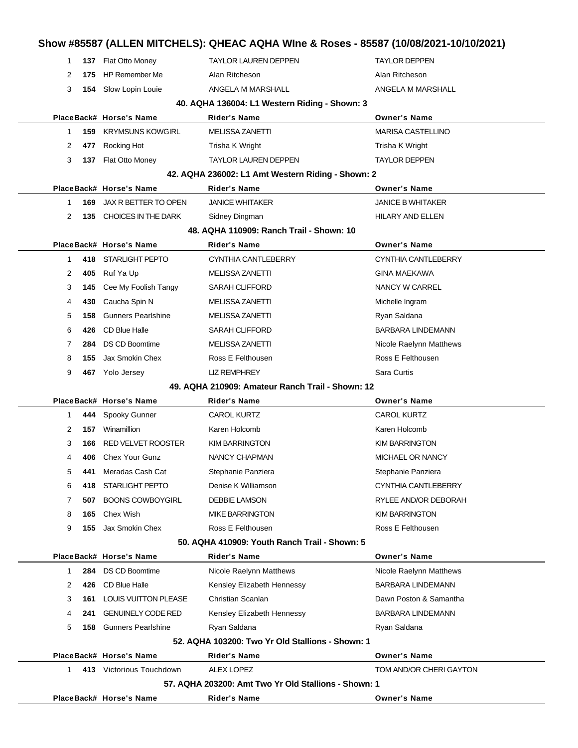|              |     |                             |                                                      | Show #85587 (ALLEN MITCHELS): QHEAC AQHA WIne & Roses - 85587 (10/08/2021-10/10/2021) |  |
|--------------|-----|-----------------------------|------------------------------------------------------|---------------------------------------------------------------------------------------|--|
| 1            |     | 137 Flat Otto Money         | <b>TAYLOR LAUREN DEPPEN</b>                          | <b>TAYLOR DEPPEN</b>                                                                  |  |
| 2            | 175 | <b>HP Remember Me</b>       | Alan Ritcheson                                       | Alan Ritcheson                                                                        |  |
| 3            | 154 | Slow Lopin Louie            | ANGELA M MARSHALL                                    | ANGELA M MARSHALL                                                                     |  |
|              |     |                             | 40. AQHA 136004: L1 Western Riding - Shown: 3        |                                                                                       |  |
|              |     | PlaceBack# Horse's Name     | Rider's Name                                         | <b>Owner's Name</b>                                                                   |  |
| 1            | 159 | KRYMSUNS KOWGIRL            | <b>MELISSA ZANETTI</b>                               | <b>MARISA CASTELLINO</b>                                                              |  |
| 2            | 477 | Rocking Hot                 | Trisha K Wright                                      | Trisha K Wright                                                                       |  |
| 3            | 137 | Flat Otto Money             | <b>TAYLOR LAUREN DEPPEN</b>                          | <b>TAYLOR DEPPEN</b>                                                                  |  |
|              |     |                             | 42. AQHA 236002: L1 Amt Western Riding - Shown: 2    |                                                                                       |  |
|              |     | PlaceBack# Horse's Name     | Rider's Name                                         | <b>Owner's Name</b>                                                                   |  |
| $\mathbf{1}$ | 169 | JAX R BETTER TO OPEN        | <b>JANICE WHITAKER</b>                               | <b>JANICE B WHITAKER</b>                                                              |  |
| 2            | 135 | CHOICES IN THE DARK         | Sidney Dingman                                       | HILARY AND ELLEN                                                                      |  |
|              |     |                             | 48. AQHA 110909: Ranch Trail - Shown: 10             |                                                                                       |  |
|              |     | PlaceBack# Horse's Name     | Rider's Name                                         | <b>Owner's Name</b>                                                                   |  |
| $\mathbf{1}$ |     | 418 STARLIGHT PEPTO         | CYNTHIA CANTLEBERRY                                  | CYNTHIA CANTLEBERRY                                                                   |  |
| 2            | 405 | Ruf Ya Up                   | <b>MELISSA ZANETTI</b>                               | <b>GINA MAEKAWA</b>                                                                   |  |
| 3            | 145 | Cee My Foolish Tangy        | <b>SARAH CLIFFORD</b>                                | NANCY W CARREL                                                                        |  |
| 4            | 430 | Caucha Spin N               | <b>MELISSA ZANETTI</b>                               | Michelle Ingram                                                                       |  |
| 5            | 158 | <b>Gunners Pearlshine</b>   | <b>MELISSA ZANETTI</b>                               | Ryan Saldana                                                                          |  |
| 6            | 426 | CD Blue Halle               | <b>SARAH CLIFFORD</b>                                | <b>BARBARA LINDEMANN</b>                                                              |  |
| 7            | 284 | <b>DS CD Boomtime</b>       | <b>MELISSA ZANETTI</b>                               | Nicole Raelynn Matthews                                                               |  |
| 8            | 155 | Jax Smokin Chex             | Ross E Felthousen                                    | Ross E Felthousen                                                                     |  |
| 9            |     | 467 Yolo Jersey             | <b>LIZ REMPHREY</b>                                  | Sara Curtis                                                                           |  |
|              |     |                             | 49. AQHA 210909: Amateur Ranch Trail - Shown: 12     |                                                                                       |  |
|              |     | PlaceBack# Horse's Name     | Rider's Name                                         | <b>Owner's Name</b>                                                                   |  |
| 1            | 444 | Spooky Gunner               | <b>CAROL KURTZ</b>                                   | <b>CAROL KURTZ</b>                                                                    |  |
| 2            | 157 | Winamillion                 | Karen Holcomb                                        | Karen Holcomb                                                                         |  |
| 3            | 166 | <b>RED VELVET ROOSTER</b>   | <b>KIM BARRINGTON</b>                                | <b>KIM BARRINGTON</b>                                                                 |  |
| 4            | 406 | <b>Chex Your Gunz</b>       | NANCY CHAPMAN                                        | MICHAEL OR NANCY                                                                      |  |
| 5            | 441 | Meradas Cash Cat            | Stephanie Panziera                                   | Stephanie Panziera                                                                    |  |
| 6            | 418 | <b>STARLIGHT PEPTO</b>      | Denise K Williamson                                  | CYNTHIA CANTLEBERRY                                                                   |  |
| 7            | 507 | <b>BOONS COWBOYGIRL</b>     | <b>DEBBIE LAMSON</b>                                 | RYLEE AND/OR DEBORAH                                                                  |  |
| 8            | 165 | Chex Wish                   | <b>MIKE BARRINGTON</b>                               | <b>KIM BARRINGTON</b>                                                                 |  |
| 9            | 155 | Jax Smokin Chex             | Ross E Felthousen                                    | Ross E Felthousen                                                                     |  |
|              |     |                             | 50. AQHA 410909: Youth Ranch Trail - Shown: 5        |                                                                                       |  |
|              |     | PlaceBack# Horse's Name     | <b>Rider's Name</b>                                  | <b>Owner's Name</b>                                                                   |  |
| $\mathbf{1}$ | 284 | <b>DS CD Boomtime</b>       | Nicole Raelynn Matthews                              | Nicole Raelynn Matthews                                                               |  |
| 2            | 426 | CD Blue Halle               | Kensley Elizabeth Hennessy                           | <b>BARBARA LINDEMANN</b>                                                              |  |
| 3            | 161 | <b>LOUIS VUITTON PLEASE</b> | Christian Scanlan                                    | Dawn Poston & Samantha                                                                |  |
| 4            | 241 | <b>GENUINELY CODE RED</b>   | Kensley Elizabeth Hennessy                           | <b>BARBARA LINDEMANN</b>                                                              |  |
| 5            | 158 | <b>Gunners Pearlshine</b>   | Ryan Saldana                                         | Ryan Saldana                                                                          |  |
|              |     |                             | 52. AQHA 103200: Two Yr Old Stallions - Shown: 1     |                                                                                       |  |
|              |     | PlaceBack# Horse's Name     | <b>Rider's Name</b>                                  | <b>Owner's Name</b>                                                                   |  |
| 1            |     | 413 Victorious Touchdown    | <b>ALEX LOPEZ</b>                                    | TOM AND/OR CHERI GAYTON                                                               |  |
|              |     |                             | 57. AQHA 203200: Amt Two Yr Old Stallions - Shown: 1 |                                                                                       |  |
|              |     | PlaceBack# Horse's Name     | Rider's Name                                         | <b>Owner's Name</b>                                                                   |  |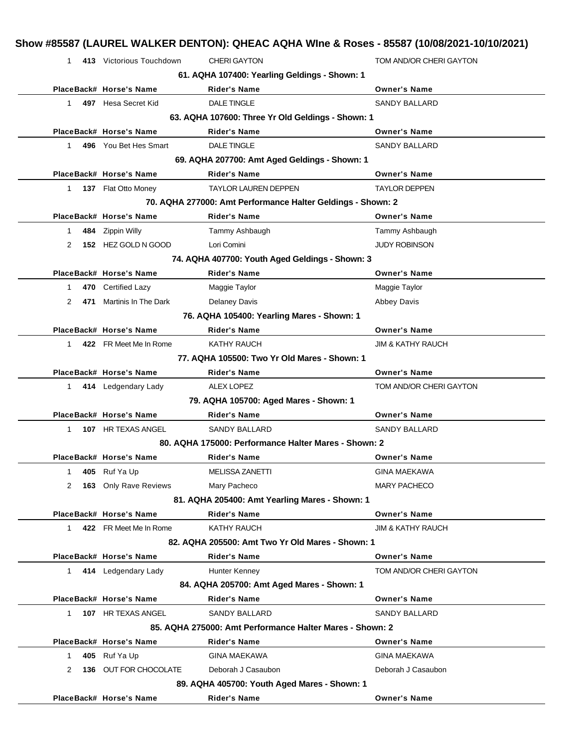| $\mathbf{1}$ | 413 Victorious Touchdown | <b>CHERI GAYTON</b>                                         | TOM AND/OR CHERI GAYTON      |
|--------------|--------------------------|-------------------------------------------------------------|------------------------------|
|              |                          | 61. AQHA 107400: Yearling Geldings - Shown: 1               |                              |
|              | PlaceBack# Horse's Name  | <b>Rider's Name</b>                                         | <b>Owner's Name</b>          |
| $\mathbf{1}$ | 497 Hesa Secret Kid      | <b>DALE TINGLE</b>                                          | <b>SANDY BALLARD</b>         |
|              |                          | 63. AQHA 107600: Three Yr Old Geldings - Shown: 1           |                              |
|              | PlaceBack# Horse's Name  | <b>Rider's Name</b>                                         | <b>Owner's Name</b>          |
| 1            | 496 You Bet Hes Smart    | <b>DALE TINGLE</b>                                          | <b>SANDY BALLARD</b>         |
|              |                          | 69. AQHA 207700: Amt Aged Geldings - Shown: 1               |                              |
|              | PlaceBack# Horse's Name  | <b>Rider's Name</b>                                         | <b>Owner's Name</b>          |
| $\mathbf{1}$ | 137 Flat Otto Money      | <b>TAYLOR LAUREN DEPPEN</b>                                 | <b>TAYLOR DEPPEN</b>         |
|              |                          | 70. AQHA 277000: Amt Performance Halter Geldings - Shown: 2 |                              |
|              | PlaceBack# Horse's Name  | <b>Rider's Name</b>                                         | <b>Owner's Name</b>          |
| 1            | 484 Zippin Willy         | Tammy Ashbaugh                                              | Tammy Ashbaugh               |
| 2            | 152 HEZ GOLD N GOOD      | Lori Comini                                                 | <b>JUDY ROBINSON</b>         |
|              |                          | 74. AQHA 407700: Youth Aged Geldings - Shown: 3             |                              |
|              | PlaceBack# Horse's Name  | <b>Rider's Name</b>                                         | <b>Owner's Name</b>          |
| 1            | 470 Certified Lazy       | Maggie Taylor                                               | Maggie Taylor                |
| 2<br>471     | Martinis In The Dark     | <b>Delaney Davis</b>                                        | Abbey Davis                  |
|              |                          | 76. AQHA 105400: Yearling Mares - Shown: 1                  |                              |
|              | PlaceBack# Horse's Name  | <b>Rider's Name</b>                                         | <b>Owner's Name</b>          |
| $\mathbf 1$  | 422 FR Meet Me In Rome   | KATHY RAUCH                                                 | <b>JIM &amp; KATHY RAUCH</b> |
|              |                          | 77. AQHA 105500: Two Yr Old Mares - Shown: 1                |                              |
|              | PlaceBack# Horse's Name  | Rider's Name                                                | <b>Owner's Name</b>          |
| $1 \quad$    | 414 Ledgendary Lady      | <b>ALEX LOPEZ</b>                                           | TOM AND/OR CHERI GAYTON      |
|              |                          | 79. AQHA 105700: Aged Mares - Shown: 1                      |                              |
|              | PlaceBack# Horse's Name  | <b>Rider's Name</b>                                         | <b>Owner's Name</b>          |
| 1            | 107 HR TEXAS ANGEL       | SANDY BALLARD                                               | SANDY BALLARD                |
|              |                          | 80. AQHA 175000: Performance Halter Mares - Shown: 2        |                              |
|              | PlaceBack# Horse's Name  | Rider's Name                                                | <b>Owner's Name</b>          |
| 1<br>405     | Ruf Ya Up                | <b>MELISSA ZANETTI</b>                                      | <b>GINA MAEKAWA</b>          |
| 2<br>163     | <b>Only Rave Reviews</b> | Mary Pacheco                                                | <b>MARY PACHECO</b>          |
|              |                          | 81. AQHA 205400: Amt Yearling Mares - Shown: 1              |                              |
|              | PlaceBack# Horse's Name  | <b>Rider's Name</b>                                         | <b>Owner's Name</b>          |
| $\mathbf 1$  | 422 FR Meet Me In Rome   | KATHY RAUCH                                                 | <b>JIM &amp; KATHY RAUCH</b> |
|              |                          | 82. AQHA 205500: Amt Two Yr Old Mares - Shown: 1            |                              |
|              | PlaceBack# Horse's Name  | <b>Rider's Name</b>                                         | <b>Owner's Name</b>          |
| 1            | 414 Ledgendary Lady      | Hunter Kenney                                               | TOM AND/OR CHERI GAYTON      |
|              |                          | 84. AQHA 205700: Amt Aged Mares - Shown: 1                  |                              |
|              | PlaceBack# Horse's Name  | <b>Rider's Name</b>                                         | <b>Owner's Name</b>          |
| $\mathbf 1$  | 107 HR TEXAS ANGEL       | SANDY BALLARD                                               | <b>SANDY BALLARD</b>         |
|              |                          | 85. AQHA 275000: Amt Performance Halter Mares - Shown: 2    |                              |
|              | PlaceBack# Horse's Name  | <b>Rider's Name</b>                                         | <b>Owner's Name</b>          |
| 1            | 405 Ruf Ya Up            | <b>GINA MAEKAWA</b>                                         | <b>GINA MAEKAWA</b>          |
| 2<br>136     | OUT FOR CHOCOLATE        | Deborah J Casaubon                                          | Deborah J Casaubon           |
|              |                          | 89. AQHA 405700: Youth Aged Mares - Shown: 1                |                              |
|              |                          |                                                             |                              |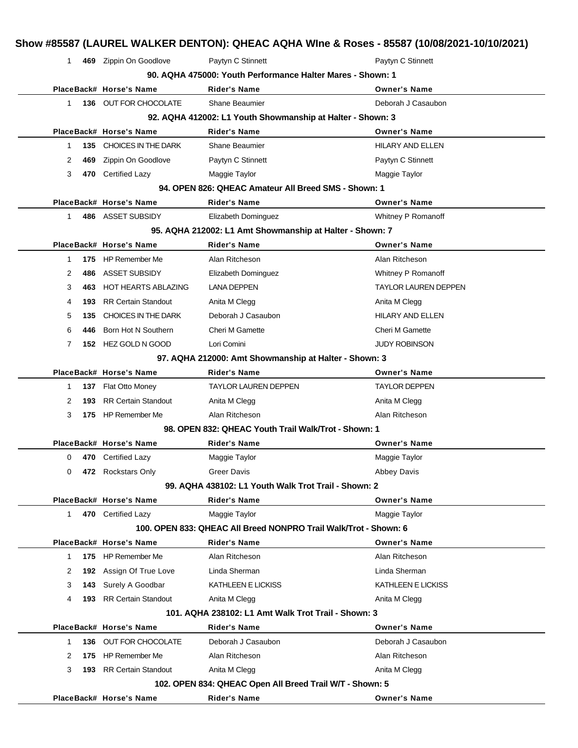|     |                                | 90. AQHA 475000: Youth Performance Halter Mares - Shown: 1                                                                                                                                                                                                                                                                                                                                                                                                                                                                                                               |                                                                                                                                                                                                                                                                                                                                                                                                                                                                                    |
|-----|--------------------------------|--------------------------------------------------------------------------------------------------------------------------------------------------------------------------------------------------------------------------------------------------------------------------------------------------------------------------------------------------------------------------------------------------------------------------------------------------------------------------------------------------------------------------------------------------------------------------|------------------------------------------------------------------------------------------------------------------------------------------------------------------------------------------------------------------------------------------------------------------------------------------------------------------------------------------------------------------------------------------------------------------------------------------------------------------------------------|
|     |                                | <b>Rider's Name</b>                                                                                                                                                                                                                                                                                                                                                                                                                                                                                                                                                      | <b>Owner's Name</b>                                                                                                                                                                                                                                                                                                                                                                                                                                                                |
|     |                                | Shane Beaumier                                                                                                                                                                                                                                                                                                                                                                                                                                                                                                                                                           | Deborah J Casaubon                                                                                                                                                                                                                                                                                                                                                                                                                                                                 |
|     |                                |                                                                                                                                                                                                                                                                                                                                                                                                                                                                                                                                                                          |                                                                                                                                                                                                                                                                                                                                                                                                                                                                                    |
|     |                                | Rider's Name                                                                                                                                                                                                                                                                                                                                                                                                                                                                                                                                                             | <b>Owner's Name</b>                                                                                                                                                                                                                                                                                                                                                                                                                                                                |
|     |                                | Shane Beaumier                                                                                                                                                                                                                                                                                                                                                                                                                                                                                                                                                           | <b>HILARY AND ELLEN</b>                                                                                                                                                                                                                                                                                                                                                                                                                                                            |
| 469 | Zippin On Goodlove             | Paytyn C Stinnett                                                                                                                                                                                                                                                                                                                                                                                                                                                                                                                                                        | Paytyn C Stinnett                                                                                                                                                                                                                                                                                                                                                                                                                                                                  |
|     |                                | Maggie Taylor                                                                                                                                                                                                                                                                                                                                                                                                                                                                                                                                                            | Maggie Taylor                                                                                                                                                                                                                                                                                                                                                                                                                                                                      |
|     |                                |                                                                                                                                                                                                                                                                                                                                                                                                                                                                                                                                                                          |                                                                                                                                                                                                                                                                                                                                                                                                                                                                                    |
|     |                                | Rider's Name                                                                                                                                                                                                                                                                                                                                                                                                                                                                                                                                                             | <b>Owner's Name</b>                                                                                                                                                                                                                                                                                                                                                                                                                                                                |
|     |                                | Elizabeth Dominguez                                                                                                                                                                                                                                                                                                                                                                                                                                                                                                                                                      | Whitney P Romanoff                                                                                                                                                                                                                                                                                                                                                                                                                                                                 |
|     |                                |                                                                                                                                                                                                                                                                                                                                                                                                                                                                                                                                                                          |                                                                                                                                                                                                                                                                                                                                                                                                                                                                                    |
|     |                                | <b>Rider's Name</b>                                                                                                                                                                                                                                                                                                                                                                                                                                                                                                                                                      | <b>Owner's Name</b>                                                                                                                                                                                                                                                                                                                                                                                                                                                                |
| 175 |                                | Alan Ritcheson                                                                                                                                                                                                                                                                                                                                                                                                                                                                                                                                                           | Alan Ritcheson                                                                                                                                                                                                                                                                                                                                                                                                                                                                     |
| 486 | ASSET SUBSIDY                  | Elizabeth Dominguez                                                                                                                                                                                                                                                                                                                                                                                                                                                                                                                                                      | Whitney P Romanoff                                                                                                                                                                                                                                                                                                                                                                                                                                                                 |
| 463 | <b>HOT HEARTS ABLAZING</b>     | <b>LANA DEPPEN</b>                                                                                                                                                                                                                                                                                                                                                                                                                                                                                                                                                       | <b>TAYLOR LAUREN DEPPEN</b>                                                                                                                                                                                                                                                                                                                                                                                                                                                        |
| 193 | <b>RR Certain Standout</b>     | Anita M Clegg                                                                                                                                                                                                                                                                                                                                                                                                                                                                                                                                                            | Anita M Clegg                                                                                                                                                                                                                                                                                                                                                                                                                                                                      |
| 135 | CHOICES IN THE DARK            | Deborah J Casaubon                                                                                                                                                                                                                                                                                                                                                                                                                                                                                                                                                       | <b>HILARY AND ELLEN</b>                                                                                                                                                                                                                                                                                                                                                                                                                                                            |
| 446 | Born Hot N Southern            | <b>Cheri M Gamette</b>                                                                                                                                                                                                                                                                                                                                                                                                                                                                                                                                                   | <b>Cheri M Gamette</b>                                                                                                                                                                                                                                                                                                                                                                                                                                                             |
|     |                                | Lori Comini                                                                                                                                                                                                                                                                                                                                                                                                                                                                                                                                                              | <b>JUDY ROBINSON</b>                                                                                                                                                                                                                                                                                                                                                                                                                                                               |
|     |                                |                                                                                                                                                                                                                                                                                                                                                                                                                                                                                                                                                                          |                                                                                                                                                                                                                                                                                                                                                                                                                                                                                    |
|     |                                | Rider's Name                                                                                                                                                                                                                                                                                                                                                                                                                                                                                                                                                             | <b>Owner's Name</b>                                                                                                                                                                                                                                                                                                                                                                                                                                                                |
|     |                                | TAYLOR LAUREN DEPPEN                                                                                                                                                                                                                                                                                                                                                                                                                                                                                                                                                     | <b>TAYLOR DEPPEN</b>                                                                                                                                                                                                                                                                                                                                                                                                                                                               |
| 193 | <b>RR Certain Standout</b>     | Anita M Clegg                                                                                                                                                                                                                                                                                                                                                                                                                                                                                                                                                            | Anita M Clegg                                                                                                                                                                                                                                                                                                                                                                                                                                                                      |
|     |                                | Alan Ritcheson                                                                                                                                                                                                                                                                                                                                                                                                                                                                                                                                                           | Alan Ritcheson                                                                                                                                                                                                                                                                                                                                                                                                                                                                     |
|     |                                |                                                                                                                                                                                                                                                                                                                                                                                                                                                                                                                                                                          |                                                                                                                                                                                                                                                                                                                                                                                                                                                                                    |
|     |                                | Rider's Name                                                                                                                                                                                                                                                                                                                                                                                                                                                                                                                                                             | <b>Owner's Name</b>                                                                                                                                                                                                                                                                                                                                                                                                                                                                |
|     |                                | Maggie Taylor                                                                                                                                                                                                                                                                                                                                                                                                                                                                                                                                                            | Maggie Taylor                                                                                                                                                                                                                                                                                                                                                                                                                                                                      |
|     |                                | Greer Davis                                                                                                                                                                                                                                                                                                                                                                                                                                                                                                                                                              | <b>Abbey Davis</b>                                                                                                                                                                                                                                                                                                                                                                                                                                                                 |
|     |                                |                                                                                                                                                                                                                                                                                                                                                                                                                                                                                                                                                                          |                                                                                                                                                                                                                                                                                                                                                                                                                                                                                    |
|     |                                | Rider's Name                                                                                                                                                                                                                                                                                                                                                                                                                                                                                                                                                             | <b>Owner's Name</b>                                                                                                                                                                                                                                                                                                                                                                                                                                                                |
|     |                                | Maggie Taylor                                                                                                                                                                                                                                                                                                                                                                                                                                                                                                                                                            | Maggie Taylor                                                                                                                                                                                                                                                                                                                                                                                                                                                                      |
|     |                                |                                                                                                                                                                                                                                                                                                                                                                                                                                                                                                                                                                          |                                                                                                                                                                                                                                                                                                                                                                                                                                                                                    |
|     |                                | Rider's Name                                                                                                                                                                                                                                                                                                                                                                                                                                                                                                                                                             | <b>Owner's Name</b>                                                                                                                                                                                                                                                                                                                                                                                                                                                                |
|     |                                | Alan Ritcheson                                                                                                                                                                                                                                                                                                                                                                                                                                                                                                                                                           | Alan Ritcheson                                                                                                                                                                                                                                                                                                                                                                                                                                                                     |
| 192 |                                | Linda Sherman                                                                                                                                                                                                                                                                                                                                                                                                                                                                                                                                                            | Linda Sherman                                                                                                                                                                                                                                                                                                                                                                                                                                                                      |
| 143 | Surely A Goodbar               | KATHLEEN E LICKISS                                                                                                                                                                                                                                                                                                                                                                                                                                                                                                                                                       | KATHLEEN E LICKISS                                                                                                                                                                                                                                                                                                                                                                                                                                                                 |
| 193 | <b>RR Certain Standout</b>     | Anita M Clegg                                                                                                                                                                                                                                                                                                                                                                                                                                                                                                                                                            | Anita M Clegg                                                                                                                                                                                                                                                                                                                                                                                                                                                                      |
|     |                                |                                                                                                                                                                                                                                                                                                                                                                                                                                                                                                                                                                          |                                                                                                                                                                                                                                                                                                                                                                                                                                                                                    |
|     |                                | Rider's Name                                                                                                                                                                                                                                                                                                                                                                                                                                                                                                                                                             | <b>Owner's Name</b>                                                                                                                                                                                                                                                                                                                                                                                                                                                                |
| 136 |                                | Deborah J Casaubon                                                                                                                                                                                                                                                                                                                                                                                                                                                                                                                                                       | Deborah J Casaubon                                                                                                                                                                                                                                                                                                                                                                                                                                                                 |
| 175 | <b>HP Remember Me</b>          | Alan Ritcheson                                                                                                                                                                                                                                                                                                                                                                                                                                                                                                                                                           | Alan Ritcheson                                                                                                                                                                                                                                                                                                                                                                                                                                                                     |
|     | <b>193</b> RR Certain Standout | Anita M Clegg                                                                                                                                                                                                                                                                                                                                                                                                                                                                                                                                                            | Anita M Clegg                                                                                                                                                                                                                                                                                                                                                                                                                                                                      |
|     |                                |                                                                                                                                                                                                                                                                                                                                                                                                                                                                                                                                                                          |                                                                                                                                                                                                                                                                                                                                                                                                                                                                                    |
|     |                                | PlaceBack# Horse's Name<br>136 OUT FOR CHOCOLATE<br>PlaceBack# Horse's Name<br>135 CHOICES IN THE DARK<br>470 Certified Lazy<br>PlaceBack# Horse's Name<br>486 ASSET SUBSIDY<br>PlaceBack# Horse's Name<br>HP Remember Me<br>152 HEZ GOLD N GOOD<br>PlaceBack# Horse's Name<br>137 Flat Otto Money<br>175 HP Remember Me<br>PlaceBack# Horse's Name<br>470 Certified Lazy<br>472 Rockstars Only<br>PlaceBack# Horse's Name<br>470 Certified Lazy<br>PlaceBack# Horse's Name<br>175 HP Remember Me<br>Assign Of True Love<br>PlaceBack# Horse's Name<br>OUT FOR CHOCOLATE | 92. AQHA 412002: L1 Youth Showmanship at Halter - Shown: 3<br>94. OPEN 826: QHEAC Amateur All Breed SMS - Shown: 1<br>95. AQHA 212002: L1 Amt Showmanship at Halter - Shown: 7<br>97. AQHA 212000: Amt Showmanship at Halter - Shown: 3<br>98. OPEN 832: QHEAC Youth Trail Walk/Trot - Shown: 1<br>99. AQHA 438102: L1 Youth Walk Trot Trail - Shown: 2<br>100. OPEN 833: QHEAC All Breed NONPRO Trail Walk/Trot - Shown: 6<br>101. AQHA 238102: L1 Amt Walk Trot Trail - Shown: 3 |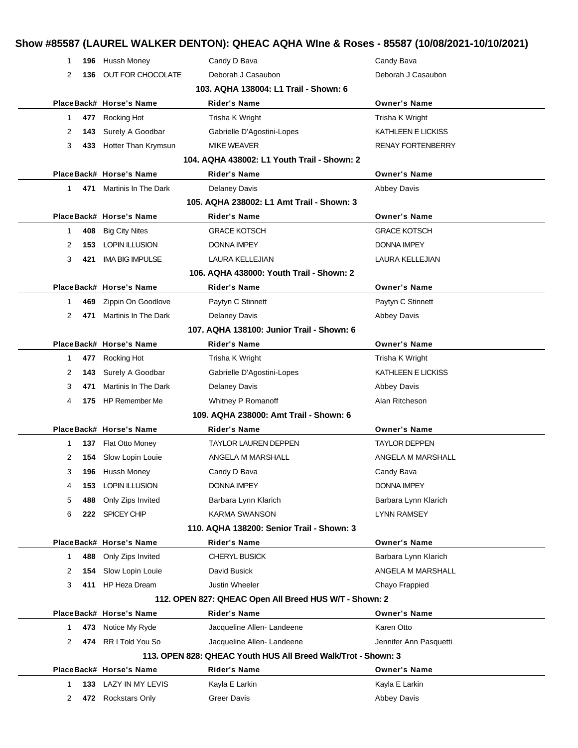| 1  |     | 196 Hussh Money          | Candy D Bava                                                  | Candy Bava               |
|----|-----|--------------------------|---------------------------------------------------------------|--------------------------|
| 2  | 136 | <b>OUT FOR CHOCOLATE</b> | Deborah J Casaubon                                            | Deborah J Casaubon       |
|    |     |                          | 103. AQHA 138004: L1 Trail - Shown: 6                         |                          |
|    |     | PlaceBack# Horse's Name  | <b>Rider's Name</b>                                           | <b>Owner's Name</b>      |
| 1. | 477 | Rocking Hot              | Trisha K Wright                                               | Trisha K Wright          |
| 2  | 143 | Surely A Goodbar         | Gabrielle D'Agostini-Lopes                                    | KATHLEEN E LICKISS       |
| 3  | 433 | Hotter Than Krymsun      | <b>MIKE WEAVER</b>                                            | <b>RENAY FORTENBERRY</b> |
|    |     |                          | 104. AQHA 438002: L1 Youth Trail - Shown: 2                   |                          |
|    |     | PlaceBack# Horse's Name  | Rider's Name                                                  | <b>Owner's Name</b>      |
| 1. | 471 | Martinis In The Dark     | <b>Delaney Davis</b>                                          | <b>Abbey Davis</b>       |
|    |     |                          | 105. AQHA 238002: L1 Amt Trail - Shown: 3                     |                          |
|    |     | PlaceBack# Horse's Name  | Rider's Name                                                  | <b>Owner's Name</b>      |
| 1  | 408 | <b>Big City Nites</b>    | <b>GRACE KOTSCH</b>                                           | <b>GRACE KOTSCH</b>      |
| 2  | 153 | <b>LOPIN ILLUSION</b>    | DONNA IMPEY                                                   | <b>DONNA IMPEY</b>       |
| 3  | 421 | <b>IMA BIG IMPULSE</b>   | <b>LAURA KELLEJIAN</b>                                        | LAURA KELLEJIAN          |
|    |     |                          | 106. AQHA 438000: Youth Trail - Shown: 2                      |                          |
|    |     | PlaceBack# Horse's Name  | Rider's Name                                                  | <b>Owner's Name</b>      |
| 1. | 469 | Zippin On Goodlove       | Paytyn C Stinnett                                             | Paytyn C Stinnett        |
| 2  | 471 | Martinis In The Dark     | <b>Delaney Davis</b>                                          | <b>Abbey Davis</b>       |
|    |     |                          | 107. AQHA 138100: Junior Trail - Shown: 6                     |                          |
|    |     | PlaceBack# Horse's Name  | Rider's Name                                                  | <b>Owner's Name</b>      |
| 1  | 477 | Rocking Hot              | Trisha K Wright                                               | Trisha K Wright          |
| 2  | 143 | Surely A Goodbar         | Gabrielle D'Agostini-Lopes                                    | KATHLEEN E LICKISS       |
| 3  | 471 | Martinis In The Dark     | <b>Delaney Davis</b>                                          | <b>Abbey Davis</b>       |
| 4  | 175 | <b>HP Remember Me</b>    | Whitney P Romanoff                                            | Alan Ritcheson           |
|    |     |                          | 109. AQHA 238000: Amt Trail - Shown: 6                        |                          |
|    |     | PlaceBack# Horse's Name  | Rider's Name                                                  | <b>Owner's Name</b>      |
| 1  | 137 | Flat Otto Money          | <b>TAYLOR LAUREN DEPPEN</b>                                   | <b>TAYLOR DEPPEN</b>     |
| 2  | 154 | Slow Lopin Louie         | ANGELA M MARSHALL                                             | ANGELA M MARSHALL        |
| 3  | 196 | Hussh Money              | Candy D Bava                                                  | Candy Bava               |
| 4  | 153 | <b>LOPIN ILLUSION</b>    | <b>DONNA IMPEY</b>                                            | <b>DONNA IMPEY</b>       |
| 5  | 488 | Only Zips Invited        | Barbara Lynn Klarich                                          | Barbara Lynn Klarich     |
| 6  | 222 | <b>SPICEY CHIP</b>       | <b>KARMA SWANSON</b>                                          | <b>LYNN RAMSEY</b>       |
|    |     |                          | 110. AQHA 138200: Senior Trail - Shown: 3                     |                          |
|    |     | PlaceBack# Horse's Name  | <b>Rider's Name</b>                                           | <b>Owner's Name</b>      |
| 1  | 488 | Only Zips Invited        | <b>CHERYL BUSICK</b>                                          | Barbara Lynn Klarich     |
| 2  | 154 | Slow Lopin Louie         | David Busick                                                  | ANGELA M MARSHALL        |
| 3  |     | 411 HP Heza Dream        | <b>Justin Wheeler</b>                                         | Chayo Frappied           |
|    |     |                          | 112. OPEN 827: QHEAC Open All Breed HUS W/T - Shown: 2        |                          |
|    |     | PlaceBack# Horse's Name  | <b>Rider's Name</b>                                           | <b>Owner's Name</b>      |
| 1. | 473 | Notice My Ryde           | Jacqueline Allen-Landeene                                     | Karen Otto               |
| 2  | 474 | RR I Told You So         | Jacqueline Allen-Landeene                                     | Jennifer Ann Pasquetti   |
|    |     |                          | 113. OPEN 828: QHEAC Youth HUS All Breed Walk/Trot - Shown: 3 |                          |
|    |     | PlaceBack# Horse's Name  | Rider's Name                                                  | <b>Owner's Name</b>      |
| 1  | 133 | LAZY IN MY LEVIS         | Kayla E Larkin                                                | Kayla E Larkin           |
| 2  |     | 472 Rockstars Only       | <b>Greer Davis</b>                                            | Abbey Davis              |
|    |     |                          |                                                               |                          |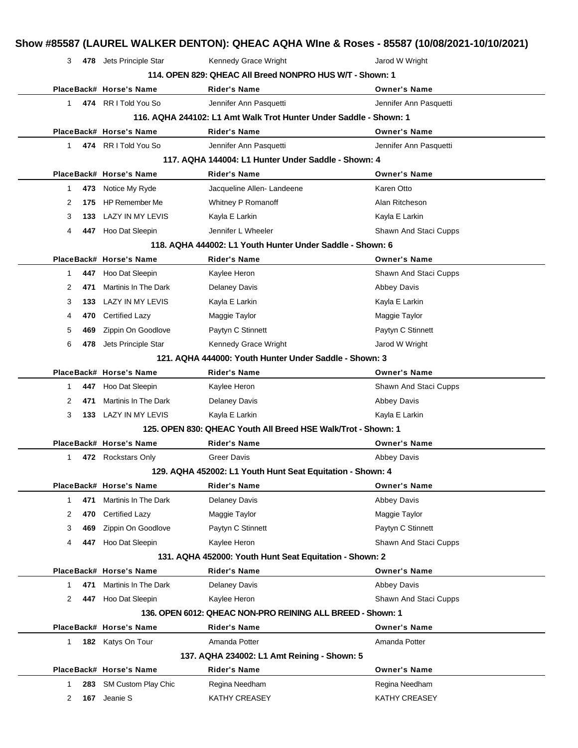| 3            |      | 478 Jets Principle Star | Kennedy Grace Wright                                              | Jarod W Wright               |
|--------------|------|-------------------------|-------------------------------------------------------------------|------------------------------|
|              |      |                         | 114. OPEN 829: QHEAC All Breed NONPRO HUS W/T - Shown: 1          |                              |
|              |      | PlaceBack# Horse's Name | <b>Rider's Name</b>                                               | <b>Owner's Name</b>          |
| 1            |      | 474 RR I Told You So    | Jennifer Ann Pasquetti                                            | Jennifer Ann Pasquetti       |
|              |      |                         | 116. AQHA 244102: L1 Amt Walk Trot Hunter Under Saddle - Shown: 1 |                              |
|              |      | PlaceBack# Horse's Name | Rider's Name                                                      | <b>Owner's Name</b>          |
| $\mathbf{1}$ |      | 474 RR I Told You So    | Jennifer Ann Pasquetti                                            | Jennifer Ann Pasquetti       |
|              |      |                         | 117. AQHA 144004: L1 Hunter Under Saddle - Shown: 4               |                              |
|              |      | PlaceBack# Horse's Name | <b>Rider's Name</b>                                               | <b>Owner's Name</b>          |
| 1            | 473  | Notice My Ryde          | Jacqueline Allen-Landeene                                         | Karen Otto                   |
| 2            | 175  | <b>HP Remember Me</b>   | Whitney P Romanoff                                                | Alan Ritcheson               |
| 3            | 133. | LAZY IN MY LEVIS        | Kayla E Larkin                                                    | Kayla E Larkin               |
| 4            | 447  | Hoo Dat Sleepin         | Jennifer L Wheeler                                                | <b>Shawn And Staci Cupps</b> |
|              |      |                         | 118. AQHA 444002: L1 Youth Hunter Under Saddle - Shown: 6         |                              |
|              |      | PlaceBack# Horse's Name | <b>Rider's Name</b>                                               | <b>Owner's Name</b>          |
| 1            | 447  | Hoo Dat Sleepin         | Kaylee Heron                                                      | Shawn And Staci Cupps        |
| 2            | 471  | Martinis In The Dark    | <b>Delaney Davis</b>                                              | <b>Abbey Davis</b>           |
| 3            | 133  | <b>LAZY IN MY LEVIS</b> | Kayla E Larkin                                                    | Kayla E Larkin               |
| 4            | 470  | Certified Lazy          | Maggie Taylor                                                     | Maggie Taylor                |
| 5            | 469  | Zippin On Goodlove      | Paytyn C Stinnett                                                 | Paytyn C Stinnett            |
| 6            | 478  | Jets Principle Star     | Kennedy Grace Wright                                              | Jarod W Wright               |
|              |      |                         | 121. AQHA 444000: Youth Hunter Under Saddle - Shown: 3            |                              |
|              |      | PlaceBack# Horse's Name | <b>Rider's Name</b>                                               | <b>Owner's Name</b>          |
| 1            | 447  | Hoo Dat Sleepin         | Kaylee Heron                                                      | Shawn And Staci Cupps        |
| 2            | 471  | Martinis In The Dark    | <b>Delaney Davis</b>                                              | <b>Abbey Davis</b>           |
| 3            | 133  | LAZY IN MY LEVIS        | Kayla E Larkin                                                    | Kayla E Larkin               |
|              |      |                         | 125. OPEN 830: QHEAC Youth All Breed HSE Walk/Trot - Shown: 1     |                              |
|              |      | PlaceBack# Horse's Name | Rider's Name                                                      | <b>Owner's Name</b>          |
| 1            |      | 472 Rockstars Only      | <b>Greer Davis</b>                                                | <b>Abbey Davis</b>           |
|              |      |                         | 129. AQHA 452002: L1 Youth Hunt Seat Equitation - Shown: 4        |                              |
|              |      | PlaceBack# Horse's Name | <b>Rider's Name</b>                                               | <b>Owner's Name</b>          |
| 1            | 471  | Martinis In The Dark    | <b>Delaney Davis</b>                                              | <b>Abbey Davis</b>           |
| 2            | 470  | <b>Certified Lazy</b>   | Maggie Taylor                                                     | Maggie Taylor                |
| 3            | 469  | Zippin On Goodlove      | Paytyn C Stinnett                                                 | Paytyn C Stinnett            |
| 4            | 447  | Hoo Dat Sleepin         | Kaylee Heron                                                      | Shawn And Staci Cupps        |
|              |      |                         | 131. AQHA 452000: Youth Hunt Seat Equitation - Shown: 2           |                              |
|              |      | PlaceBack# Horse's Name | <b>Rider's Name</b>                                               | <b>Owner's Name</b>          |
| 1            | 471  | Martinis In The Dark    | Delaney Davis                                                     | <b>Abbey Davis</b>           |
| 2            | 447  | Hoo Dat Sleepin         | Kaylee Heron                                                      | Shawn And Staci Cupps        |
|              |      |                         | 136. OPEN 6012: QHEAC NON-PRO REINING ALL BREED - Shown: 1        |                              |
|              |      | PlaceBack# Horse's Name | <b>Rider's Name</b>                                               | <b>Owner's Name</b>          |
| 1            | 182  | Katys On Tour           | Amanda Potter                                                     | Amanda Potter                |
|              |      |                         | 137. AQHA 234002: L1 Amt Reining - Shown: 5                       |                              |
|              |      | PlaceBack# Horse's Name | <b>Rider's Name</b>                                               | <b>Owner's Name</b>          |
| 1            | 283  | SM Custom Play Chic     | Regina Needham                                                    | Regina Needham               |
| 2            | 167  | Jeanie S                | KATHY CREASEY                                                     | KATHY CREASEY                |
|              |      |                         |                                                                   |                              |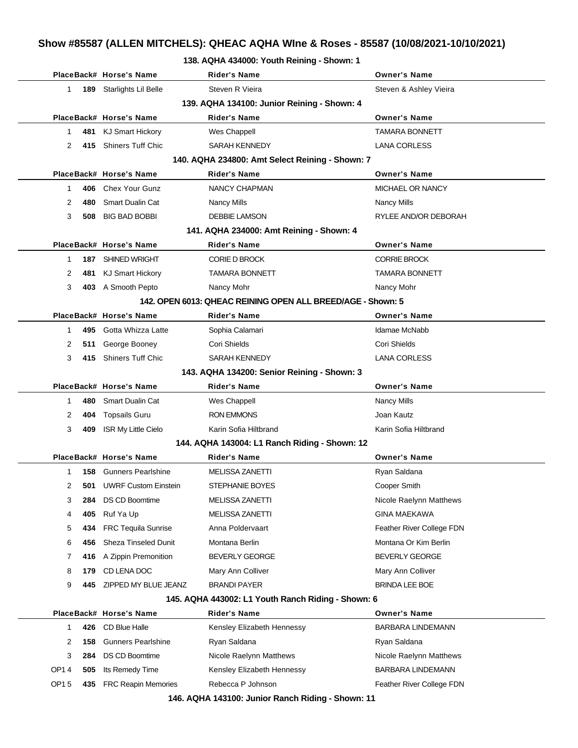|  |  |  |  | 138. AQHA 434000: Youth Reining - Shown: 1 |  |  |
|--|--|--|--|--------------------------------------------|--|--|
|--|--|--|--|--------------------------------------------|--|--|

|                                             |     | PlaceBack# Horse's Name                       | <b>Rider's Name</b>                                         | <b>Owner's Name</b>       |  |
|---------------------------------------------|-----|-----------------------------------------------|-------------------------------------------------------------|---------------------------|--|
| 1                                           | 189 | Starlights Lil Belle                          | Steven R Vieira                                             | Steven & Ashley Vieira    |  |
| 139. AQHA 134100: Junior Reining - Shown: 4 |     |                                               |                                                             |                           |  |
|                                             |     | PlaceBack# Horse's Name                       | <b>Rider's Name</b>                                         | <b>Owner's Name</b>       |  |
| 1                                           |     | 481 KJ Smart Hickory                          | Wes Chappell                                                | <b>TAMARA BONNETT</b>     |  |
| 2                                           | 415 | <b>Shiners Tuff Chic</b>                      | SARAH KENNEDY                                               | <b>LANA CORLESS</b>       |  |
|                                             |     |                                               | 140. AQHA 234800: Amt Select Reining - Shown: 7             |                           |  |
|                                             |     | PlaceBack# Horse's Name                       | <b>Rider's Name</b>                                         | <b>Owner's Name</b>       |  |
| $\mathbf 1$                                 |     | 406 Chex Your Gunz                            | <b>NANCY CHAPMAN</b>                                        | MICHAEL OR NANCY          |  |
| 2                                           | 480 | <b>Smart Dualin Cat</b>                       | <b>Nancy Mills</b>                                          | <b>Nancy Mills</b>        |  |
| 3                                           | 508 | <b>BIG BAD BOBBI</b>                          | <b>DEBBIE LAMSON</b>                                        | RYLEE AND/OR DEBORAH      |  |
|                                             |     |                                               | 141. AQHA 234000: Amt Reining - Shown: 4                    |                           |  |
|                                             |     | PlaceBack# Horse's Name                       | <b>Rider's Name</b>                                         | <b>Owner's Name</b>       |  |
| 1                                           |     | 187 SHINED WRIGHT                             | <b>CORIE D BROCK</b>                                        | <b>CORRIE BROCK</b>       |  |
| 2                                           | 481 | <b>KJ Smart Hickory</b>                       | <b>TAMARA BONNETT</b>                                       | <b>TAMARA BONNETT</b>     |  |
| 3                                           |     | 403 A Smooth Pepto                            | Nancy Mohr                                                  | Nancy Mohr                |  |
|                                             |     |                                               | 142. OPEN 6013: QHEAC REINING OPEN ALL BREED/AGE - Shown: 5 |                           |  |
|                                             |     | PlaceBack# Horse's Name                       | <b>Rider's Name</b>                                         | <b>Owner's Name</b>       |  |
| 1                                           |     | 495 Gotta Whizza Latte                        | Sophia Calamari                                             | Idamae McNabb             |  |
| 2                                           |     | 511 George Booney                             | Cori Shields                                                | Cori Shields              |  |
| 3                                           | 415 | <b>Shiners Tuff Chic</b>                      | SARAH KENNEDY                                               | <b>LANA CORLESS</b>       |  |
|                                             |     |                                               | 143. AQHA 134200: Senior Reining - Shown: 3                 |                           |  |
|                                             |     | PlaceBack# Horse's Name                       | <b>Rider's Name</b>                                         | <b>Owner's Name</b>       |  |
| 1                                           | 480 | <b>Smart Dualin Cat</b>                       | Wes Chappell                                                | <b>Nancy Mills</b>        |  |
| 2                                           | 404 | <b>Topsails Guru</b>                          | <b>RON EMMONS</b>                                           | Joan Kautz                |  |
| 3                                           | 409 | <b>ISR My Little Cielo</b>                    | Karin Sofia Hiltbrand                                       | Karin Sofia Hiltbrand     |  |
|                                             |     | 144. AQHA 143004: L1 Ranch Riding - Shown: 12 |                                                             |                           |  |
|                                             |     | PlaceBack# Horse's Name                       | <b>Rider's Name</b>                                         | <b>Owner's Name</b>       |  |
| 1                                           |     | <b>158</b> Gunners Pearlshine                 | <b>MELISSA ZANETTI</b>                                      | Ryan Saldana              |  |
| $\overline{\mathbf{c}}$                     | 501 | <b>UWRF Custom Einstein</b>                   | <b>STEPHANIE BOYES</b>                                      | Cooper Smith              |  |
| 3                                           | 284 | <b>DS CD Boomtime</b>                         | <b>MELISSA ZANETTI</b>                                      | Nicole Raelynn Matthews   |  |
| 4                                           | 405 | Ruf Ya Up                                     | <b>MELISSA ZANETTI</b>                                      | <b>GINA MAEKAWA</b>       |  |
| 5                                           | 434 | <b>FRC Tequila Sunrise</b>                    | Anna Poldervaart                                            | Feather River College FDN |  |
| 6                                           | 456 | <b>Sheza Tinseled Dunit</b>                   | Montana Berlin                                              | Montana Or Kim Berlin     |  |
| 7                                           | 416 | A Zippin Premonition                          | <b>BEVERLY GEORGE</b>                                       | <b>BEVERLY GEORGE</b>     |  |
| 8                                           | 179 | CD LENA DOC                                   | Mary Ann Colliver                                           | Mary Ann Colliver         |  |
| 9                                           | 445 | ZIPPED MY BLUE JEANZ                          | <b>BRANDI PAYER</b>                                         | <b>BRINDA LEE BOE</b>     |  |
|                                             |     |                                               | 145. AQHA 443002: L1 Youth Ranch Riding - Shown: 6          |                           |  |
|                                             |     | PlaceBack# Horse's Name                       | Rider's Name                                                | <b>Owner's Name</b>       |  |
| $\mathbf 1$                                 | 426 | CD Blue Halle                                 | Kensley Elizabeth Hennessy                                  | <b>BARBARA LINDEMANN</b>  |  |
| 2                                           | 158 | <b>Gunners Pearlshine</b>                     | Ryan Saldana                                                | Ryan Saldana              |  |
| 3                                           | 284 | <b>DS CD Boomtime</b>                         | Nicole Raelynn Matthews                                     | Nicole Raelynn Matthews   |  |
| OP14                                        | 505 | Its Remedy Time                               | Kensley Elizabeth Hennessy                                  | <b>BARBARA LINDEMANN</b>  |  |
|                                             |     |                                               |                                                             |                           |  |

**146. AQHA 143100: Junior Ranch Riding - Shown: 11**

OP1 5 435 FRC Reapin Memories Rebecca P Johnson **Feather River College FDN**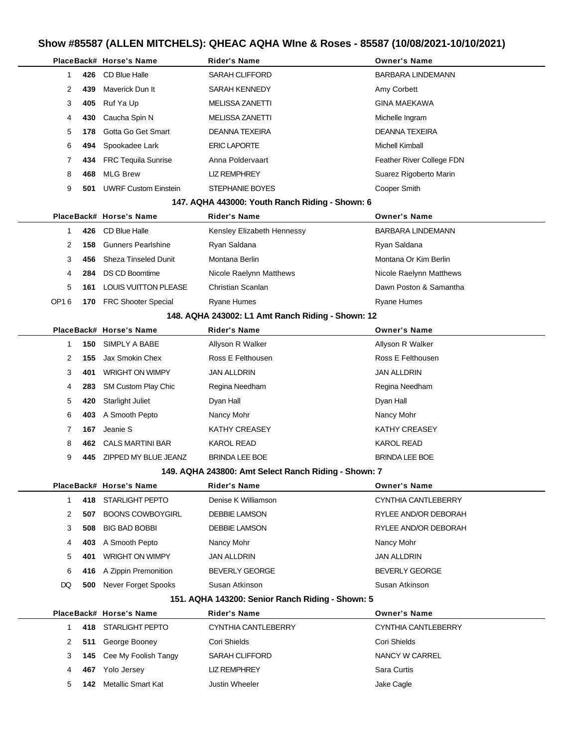|      |     | PlaceBack# Horse's Name     | Rider's Name                                         | <b>Owner's Name</b>       |
|------|-----|-----------------------------|------------------------------------------------------|---------------------------|
| 1    | 426 | CD Blue Halle               | <b>SARAH CLIFFORD</b>                                | <b>BARBARA LINDEMANN</b>  |
| 2    | 439 | Maverick Dun It             | SARAH KENNEDY                                        | Amy Corbett               |
| 3    | 405 | Ruf Ya Up                   | <b>MELISSA ZANETTI</b>                               | <b>GINA MAEKAWA</b>       |
| 4    | 430 | Caucha Spin N               | MELISSA ZANETTI                                      | Michelle Ingram           |
| 5    | 178 | Gotta Go Get Smart          | <b>DEANNA TEXEIRA</b>                                | <b>DEANNA TEXEIRA</b>     |
| 6    | 494 | Spookadee Lark              | <b>ERIC LAPORTE</b>                                  | <b>Michell Kimball</b>    |
| 7    | 434 | <b>FRC Tequila Sunrise</b>  | Anna Poldervaart                                     | Feather River College FDN |
| 8    | 468 | <b>MLG Brew</b>             | <b>LIZ REMPHREY</b>                                  | Suarez Rigoberto Marin    |
| 9    | 501 | <b>UWRF Custom Einstein</b> | STEPHANIE BOYES                                      | Cooper Smith              |
|      |     |                             | 147. AQHA 443000: Youth Ranch Riding - Shown: 6      |                           |
|      |     | PlaceBack# Horse's Name     | Rider's Name                                         | <b>Owner's Name</b>       |
| 1    | 426 | CD Blue Halle               | Kensley Elizabeth Hennessy                           | <b>BARBARA LINDEMANN</b>  |
| 2    | 158 | <b>Gunners Pearlshine</b>   | Ryan Saldana                                         | Ryan Saldana              |
| 3    | 456 | <b>Sheza Tinseled Dunit</b> | Montana Berlin                                       | Montana Or Kim Berlin     |
| 4    | 284 | <b>DS CD Boomtime</b>       | Nicole Raelynn Matthews                              | Nicole Raelynn Matthews   |
| 5    | 161 | <b>LOUIS VUITTON PLEASE</b> | Christian Scanlan                                    | Dawn Poston & Samantha    |
| OP16 |     | 170 FRC Shooter Special     | Ryane Humes                                          | Ryane Humes               |
|      |     |                             | 148. AQHA 243002: L1 Amt Ranch Riding - Shown: 12    |                           |
|      |     | PlaceBack# Horse's Name     | Rider's Name                                         | <b>Owner's Name</b>       |
| 1    | 150 | SIMPLY A BABE               | Allyson R Walker                                     | Allyson R Walker          |
| 2    | 155 | Jax Smokin Chex             | Ross E Felthousen                                    | Ross E Felthousen         |
| 3    | 401 | <b>WRIGHT ON WIMPY</b>      | <b>JAN ALLDRIN</b>                                   | <b>JAN ALLDRIN</b>        |
| 4    | 283 | SM Custom Play Chic         | Regina Needham                                       | Regina Needham            |
| 5    | 420 | <b>Starlight Juliet</b>     | Dyan Hall                                            | Dyan Hall                 |
| 6    | 403 | A Smooth Pepto              | Nancy Mohr                                           | Nancy Mohr                |
| 7    | 167 | Jeanie S                    | <b>KATHY CREASEY</b>                                 | <b>KATHY CREASEY</b>      |
| 8    | 462 | <b>CALS MARTINI BAR</b>     | <b>KAROL READ</b>                                    | KAROL READ                |
| 9    | 445 | ZIPPED MY BLUE JEANZ        | <b>BRINDA LEE BOE</b>                                | <b>BRINDA LEE BOE</b>     |
|      |     |                             | 149. AQHA 243800: Amt Select Ranch Riding - Shown: 7 |                           |
|      |     | PlaceBack# Horse's Name     | <b>Rider's Name</b>                                  | <b>Owner's Name</b>       |
| 1    | 418 | STARLIGHT PEPTO             | Denise K Williamson                                  | CYNTHIA CANTLEBERRY       |
| 2    | 507 | <b>BOONS COWBOYGIRL</b>     | <b>DEBBIE LAMSON</b>                                 | RYLEE AND/OR DEBORAH      |
| 3    | 508 | <b>BIG BAD BOBBI</b>        | <b>DEBBIE LAMSON</b>                                 | RYLEE AND/OR DEBORAH      |
| 4    | 403 | A Smooth Pepto              | Nancy Mohr                                           | Nancy Mohr                |
| 5    | 401 | <b>WRIGHT ON WIMPY</b>      | <b>JAN ALLDRIN</b>                                   | <b>JAN ALLDRIN</b>        |
| 6    | 416 | A Zippin Premonition        | <b>BEVERLY GEORGE</b>                                | <b>BEVERLY GEORGE</b>     |
| DQ   | 500 | Never Forget Spooks         | Susan Atkinson                                       | Susan Atkinson            |
|      |     |                             | 151. AQHA 143200: Senior Ranch Riding - Shown: 5     |                           |
|      |     | PlaceBack# Horse's Name     | <b>Rider's Name</b>                                  | <b>Owner's Name</b>       |
| 1.   |     | 418 STARLIGHT PEPTO         | CYNTHIA CANTLEBERRY                                  | CYNTHIA CANTLEBERRY       |
| 2    | 511 | George Booney               | Cori Shields                                         | Cori Shields              |
| 3    | 145 | Cee My Foolish Tangy        | <b>SARAH CLIFFORD</b>                                | NANCY W CARREL            |
| 4    |     | 467 Yolo Jersey             | <b>LIZ REMPHREY</b>                                  | Sara Curtis               |

**142** Metallic Smart Kat Justin Wheeler Justin Wheeler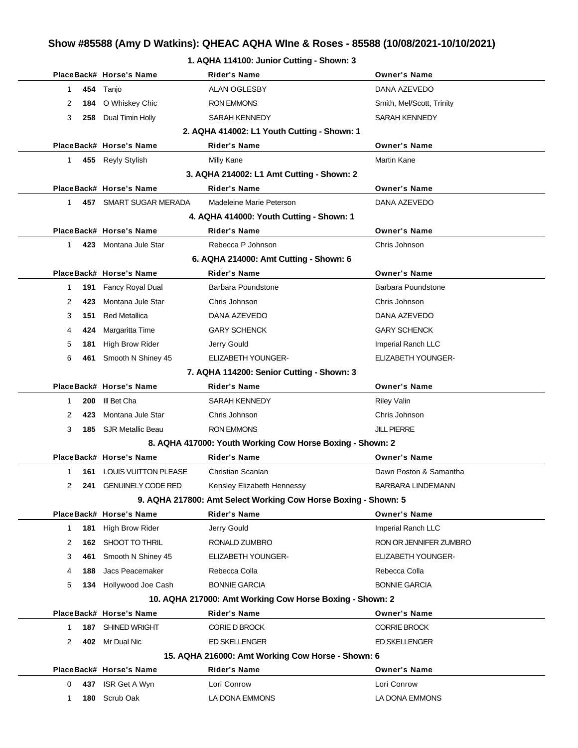### **Show #85588 (Amy D Watkins): QHEAC AQHA WIne & Roses - 85588 (10/08/2021-10/10/2021)**

|              |     |                         | Show #85588 (Amy D Watkins): QHEAC AQHA WIne & Roses - 85588 (10/08/2021-10/10/2 |                           |
|--------------|-----|-------------------------|----------------------------------------------------------------------------------|---------------------------|
|              |     |                         | 1. AQHA 114100: Junior Cutting - Shown: 3                                        |                           |
|              |     | PlaceBack# Horse's Name | <b>Rider's Name</b>                                                              | <b>Owner's Name</b>       |
| $\mathbf{1}$ | 454 | Tanjo                   | <b>ALAN OGLESBY</b>                                                              | DANA AZEVEDO              |
| 2            | 184 | O Whiskey Chic          | <b>RON EMMONS</b>                                                                | Smith, Mel/Scott, Trinity |
| 3            | 258 | Dual Timin Holly        | SARAH KENNEDY                                                                    | <b>SARAH KENNEDY</b>      |
|              |     |                         | 2. AQHA 414002: L1 Youth Cutting - Shown: 1                                      |                           |
|              |     | PlaceBack# Horse's Name | <b>Rider's Name</b>                                                              | <b>Owner's Name</b>       |
| $\mathbf{1}$ |     | 455 Reyly Stylish       | Milly Kane                                                                       | Martin Kane               |
|              |     |                         | 3. AQHA 214002: L1 Amt Cutting - Shown: 2                                        |                           |
|              |     | PlaceBack# Horse's Name | <b>Rider's Name</b>                                                              | <b>Owner's Name</b>       |
| $\mathbf{1}$ |     | 457 SMART SUGAR MERADA  | Madeleine Marie Peterson                                                         | DANA AZEVEDO              |
|              |     |                         | 4. AQHA 414000: Youth Cutting - Shown: 1                                         |                           |
|              |     | PlaceBack# Horse's Name | <b>Rider's Name</b>                                                              | <b>Owner's Name</b>       |
| $\mathbf{1}$ |     | 423 Montana Jule Star   | Rebecca P Johnson                                                                | Chris Johnson             |
|              |     |                         | 6. AQHA 214000: Amt Cutting - Shown: 6                                           |                           |
|              |     | PlaceBack# Horse's Name | <b>Rider's Name</b>                                                              | <b>Owner's Name</b>       |
| 1            | 191 | Fancy Royal Dual        | Barbara Poundstone                                                               | Barbara Poundstone        |
| 2            | 423 | Montana Jule Star       | Chris Johnson                                                                    | Chris Johnson             |
| 3            | 151 | <b>Red Metallica</b>    | DANA AZEVEDO                                                                     | DANA AZEVEDO              |
| 4            | 424 | Margaritta Time         | <b>GARY SCHENCK</b>                                                              | <b>GARY SCHENCK</b>       |
| 5            | 181 | <b>High Brow Rider</b>  | Jerry Gould                                                                      | Imperial Ranch LLC        |
| 6            | 461 | Smooth N Shiney 45      | <b>ELIZABETH YOUNGER-</b>                                                        | <b>ELIZABETH YOUNGER-</b> |
|              |     |                         | 7. AQHA 114200: Senior Cutting - Shown: 3                                        |                           |
|              |     | PlaceBack# Horse's Name | <b>Rider's Name</b>                                                              | <b>Owner's Name</b>       |

|                                                           |     | PlaceBack# Horse's Name      | Rider's Name      | <b>Owner's Name</b> |  |
|-----------------------------------------------------------|-----|------------------------------|-------------------|---------------------|--|
|                                                           |     | <b>200</b> III Bet Cha       | SARAH KENNEDY     | Riley Valin         |  |
|                                                           | 423 | Montana Jule Star            | Chris Johnson     | Chris Johnson       |  |
| 3                                                         |     | <b>185</b> SJR Metallic Beau | <b>RON EMMONS</b> | <b>JILL PIERRE</b>  |  |
| 8. AQHA 417000: Youth Working Cow Horse Boxing - Shown: 2 |     |                              |                   |                     |  |

### **8. AQHA 417000: Youth Working Cow Horse Boxing - Shown: 2**

|               |     | PlaceBack# Horse's Name     | <b>Rider's Name</b>                                            | <b>Owner's Name</b>       |
|---------------|-----|-----------------------------|----------------------------------------------------------------|---------------------------|
| 1             | 161 | <b>LOUIS VUITTON PLEASE</b> | Christian Scanlan                                              | Dawn Poston & Samantha    |
| 2             | 241 | <b>GENUINELY CODE RED</b>   | Kensley Elizabeth Hennessy                                     | <b>BARBARA LINDEMANN</b>  |
|               |     |                             | 9. AQHA 217800: Amt Select Working Cow Horse Boxing - Shown: 5 |                           |
|               |     | PlaceBack# Horse's Name     | <b>Rider's Name</b>                                            | <b>Owner's Name</b>       |
| 1             | 181 | High Brow Rider             | Jerry Gould                                                    | Imperial Ranch LLC        |
| $\mathcal{P}$ | 162 | SHOOT TO THRIL              | RONALD ZUMBRO                                                  | RON OR JENNIFER ZUMBRO    |
| 3             | 461 | Smooth N Shiney 45          | <b>ELIZABETH YOUNGER-</b>                                      | <b>ELIZABETH YOUNGER-</b> |
| 4             | 188 | Jacs Peacemaker             | Rebecca Colla                                                  | Rebecca Colla             |
| 5             | 134 | Hollywood Joe Cash          | <b>BONNIE GARCIA</b>                                           | <b>BONNIE GARCIA</b>      |
|               |     |                             | 10. AQHA 217000: Amt Working Cow Horse Boxing - Shown: 2       |                           |
|               |     | PlaceBack# Horse's Name     | Rider's Name                                                   | <b>Owner's Name</b>       |
|               | 187 | SHINED WRIGHT               | <b>CORIE D BROCK</b>                                           | <b>CORRIE BROCK</b>       |
| 2             | 402 | Mr Dual Nic                 | <b>ED SKELLENGER</b>                                           | <b>ED SKELLENGER</b>      |
|               |     |                             | 15. AQHA 216000: Amt Working Cow Horse - Shown: 6              |                           |
|               |     |                             |                                                                |                           |

|   | PlaceBack# Horse's Name | Rider's Name   | <b>Owner's Name</b> |
|---|-------------------------|----------------|---------------------|
| 0 | 437 ISR Get A Wyn       | Lori Conrow    | Lori Conrow         |
|   | <b>180</b> Scrub Oak    | LA DONA EMMONS | LA DONA EMMONS      |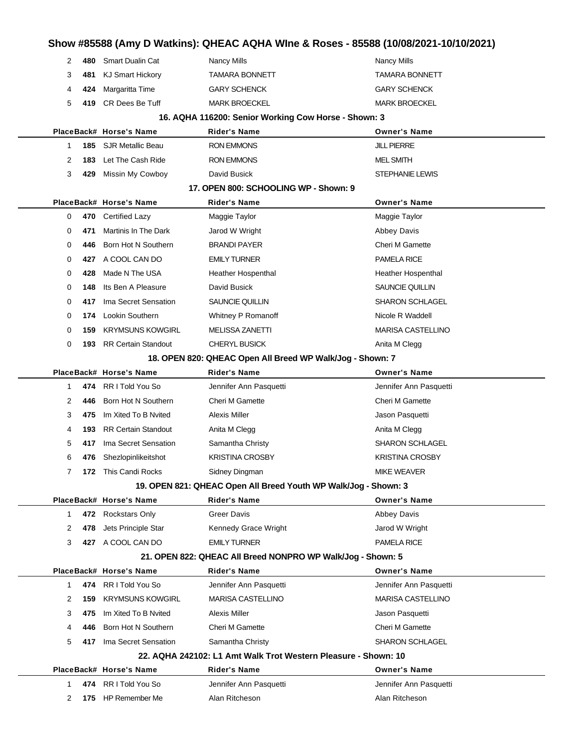# **Show #85588 (Amy D Watkins): QHEAC AQHA WIne & Roses - 85588 (10/08/2021-10/10/2021)**

|                                                             | 2           | 480 | <b>Smart Dualin Cat</b>      | <b>Nancy Mills</b>                                              | Nancy Mills               |  |  |
|-------------------------------------------------------------|-------------|-----|------------------------------|-----------------------------------------------------------------|---------------------------|--|--|
|                                                             | 3           | 481 | <b>KJ Smart Hickory</b>      | TAMARA BONNETT                                                  | <b>TAMARA BONNETT</b>     |  |  |
|                                                             | 4           | 424 | Margaritta Time              | <b>GARY SCHENCK</b>                                             | <b>GARY SCHENCK</b>       |  |  |
|                                                             | 5           | 419 | CR Dees Be Tuff              | <b>MARK BROECKEL</b>                                            | <b>MARK BROECKEL</b>      |  |  |
|                                                             |             |     |                              | 16. AQHA 116200: Senior Working Cow Horse - Shown: 3            |                           |  |  |
|                                                             |             |     | PlaceBack# Horse's Name      | <b>Rider's Name</b>                                             | <b>Owner's Name</b>       |  |  |
|                                                             | $\mathbf 1$ |     | <b>185 SJR Metallic Beau</b> | <b>RON EMMONS</b>                                               | <b>JILL PIERRE</b>        |  |  |
|                                                             | 2           | 183 | Let The Cash Ride            | <b>RON EMMONS</b>                                               | <b>MEL SMITH</b>          |  |  |
|                                                             | 3           | 429 | Missin My Cowboy             | David Busick                                                    | STEPHANIE LEWIS           |  |  |
|                                                             |             |     |                              | 17. OPEN 800: SCHOOLING WP - Shown: 9                           |                           |  |  |
|                                                             |             |     | PlaceBack# Horse's Name      | <b>Rider's Name</b>                                             | <b>Owner's Name</b>       |  |  |
|                                                             | 0           |     | 470 Certified Lazy           | Maggie Taylor                                                   | Maggie Taylor             |  |  |
|                                                             | 0           | 471 | <b>Martinis In The Dark</b>  | Jarod W Wright                                                  | <b>Abbey Davis</b>        |  |  |
|                                                             | 0           | 446 | Born Hot N Southern          | <b>BRANDI PAYER</b>                                             | <b>Cheri M Gamette</b>    |  |  |
|                                                             | 0           |     | 427 A COOL CAN DO            | <b>EMILY TURNER</b>                                             | <b>PAMELA RICE</b>        |  |  |
|                                                             | 0           | 428 | Made N The USA               | <b>Heather Hospenthal</b>                                       | <b>Heather Hospenthal</b> |  |  |
|                                                             | 0           | 148 | Its Ben A Pleasure           | David Busick                                                    | SAUNCIE QUILLIN           |  |  |
|                                                             | 0           | 417 | Ima Secret Sensation         | <b>SAUNCIE QUILLIN</b>                                          | <b>SHARON SCHLAGEL</b>    |  |  |
|                                                             | 0           | 174 | Lookin Southern              | Whitney P Romanoff                                              | Nicole R Waddell          |  |  |
|                                                             | 0           | 159 | <b>KRYMSUNS KOWGIRL</b>      | <b>MELISSA ZANETTI</b>                                          | <b>MARISA CASTELLINO</b>  |  |  |
|                                                             | 0           | 193 | <b>RR Certain Standout</b>   | <b>CHERYL BUSICK</b>                                            | Anita M Clegg             |  |  |
|                                                             |             |     |                              | 18. OPEN 820: QHEAC Open All Breed WP Walk/Jog - Shown: 7       |                           |  |  |
|                                                             |             |     | PlaceBack# Horse's Name      | <b>Rider's Name</b>                                             | <b>Owner's Name</b>       |  |  |
|                                                             | 1           |     | 474 RR I Told You So         | Jennifer Ann Pasquetti                                          | Jennifer Ann Pasquetti    |  |  |
|                                                             | 2           | 446 | Born Hot N Southern          | <b>Cheri M Gamette</b>                                          | <b>Cheri M Gamette</b>    |  |  |
|                                                             | 3           | 475 | Im Xited To B Nvited         | Alexis Miller                                                   | Jason Pasquetti           |  |  |
|                                                             | 4           | 193 | <b>RR Certain Standout</b>   | Anita M Clegg                                                   | Anita M Clegg             |  |  |
|                                                             | 5           | 417 | Ima Secret Sensation         | Samantha Christy                                                | <b>SHARON SCHLAGEL</b>    |  |  |
|                                                             | 6           | 476 | Shezlopinlikeitshot          | <b>KRISTINA CROSBY</b>                                          | <b>KRISTINA CROSBY</b>    |  |  |
|                                                             | 7           |     | 172 This Candi Rocks         | Sidney Dingman                                                  | <b>MIKE WEAVER</b>        |  |  |
|                                                             |             |     |                              | 19. OPEN 821: QHEAC Open All Breed Youth WP Walk/Jog - Shown: 3 |                           |  |  |
|                                                             |             |     | PlaceBack# Horse's Name      | <b>Rider's Name</b>                                             | <b>Owner's Name</b>       |  |  |
|                                                             | $\mathbf 1$ |     | 472 Rockstars Only           | <b>Greer Davis</b>                                              | <b>Abbey Davis</b>        |  |  |
|                                                             | 2           | 478 | Jets Principle Star          | Kennedy Grace Wright                                            | Jarod W Wright            |  |  |
|                                                             | 3           |     | 427 A COOL CAN DO            | <b>EMILY TURNER</b>                                             | <b>PAMELA RICE</b>        |  |  |
| 21. OPEN 822: QHEAC All Breed NONPRO WP Walk/Jog - Shown: 5 |             |     |                              |                                                                 |                           |  |  |
|                                                             |             |     | PlaceBack# Horse's Name      | <b>Rider's Name</b>                                             | <b>Owner's Name</b>       |  |  |
|                                                             | 1           |     | 474 RR I Told You So         | Jennifer Ann Pasquetti                                          | Jennifer Ann Pasquetti    |  |  |
|                                                             | 2           | 159 | <b>KRYMSUNS KOWGIRL</b>      | <b>MARISA CASTELLINO</b>                                        | <b>MARISA CASTELLINO</b>  |  |  |
|                                                             | 3           | 475 | Im Xited To B Nyited         | Alexis Miller                                                   | Jason Pasquetti           |  |  |
|                                                             | 4           | 446 | Born Hot N Southern          | <b>Cheri M Gamette</b>                                          | <b>Cheri M Gamette</b>    |  |  |
|                                                             | 5           | 417 | Ima Secret Sensation         | Samantha Christy                                                | <b>SHARON SCHLAGEL</b>    |  |  |
|                                                             |             |     |                              | 22. AQHA 242102: L1 Amt Walk Trot Western Pleasure - Shown: 10  |                           |  |  |
|                                                             |             |     | PlaceBack# Horse's Name      | <b>Rider's Name</b>                                             | <b>Owner's Name</b>       |  |  |
|                                                             | 1           |     | 474 RR I Told You So         | Jennifer Ann Pasquetti                                          | Jennifer Ann Pasquetti    |  |  |
|                                                             | 2           |     | 175 HP Remember Me           | Alan Ritcheson                                                  | Alan Ritcheson            |  |  |
|                                                             |             |     |                              |                                                                 |                           |  |  |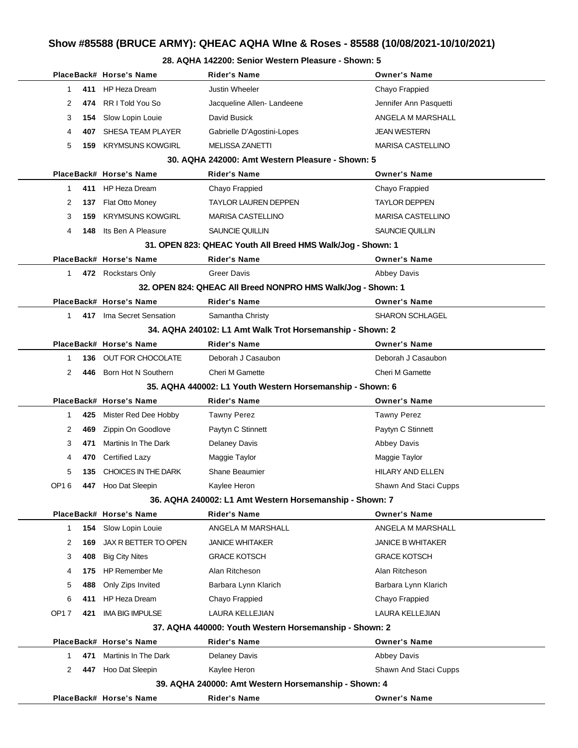#### **28. AQHA 142200: Senior Western Pleasure - Shown: 5**

|             | PlaceBack# Horse's Name  | Rider's Name                                                 | <b>Owner's Name</b>      |
|-------------|--------------------------|--------------------------------------------------------------|--------------------------|
| 411<br>1    | HP Heza Dream            | <b>Justin Wheeler</b>                                        | Chayo Frappied           |
| 474<br>2    | RR I Told You So         | Jacqueline Allen-Landeene                                    | Jennifer Ann Pasquetti   |
| 3<br>154    | Slow Lopin Louie         | David Busick                                                 | ANGELA M MARSHALL        |
| 407<br>4    | SHESA TEAM PLAYER        | Gabrielle D'Agostini-Lopes                                   | <b>JEAN WESTERN</b>      |
| 5<br>159    | <b>KRYMSUNS KOWGIRL</b>  | MELISSA ZANETTI                                              | <b>MARISA CASTELLINO</b> |
|             |                          | 30. AQHA 242000: Amt Western Pleasure - Shown: 5             |                          |
|             | PlaceBack# Horse's Name  | Rider's Name                                                 | <b>Owner's Name</b>      |
| 411<br>1    | HP Heza Dream            | Chayo Frappied                                               | Chayo Frappied           |
| 2<br>137    | Flat Otto Money          | <b>TAYLOR LAUREN DEPPEN</b>                                  | <b>TAYLOR DEPPEN</b>     |
| 3<br>159    | <b>KRYMSUNS KOWGIRL</b>  | <b>MARISA CASTELLINO</b>                                     | <b>MARISA CASTELLINO</b> |
| 4<br>148    | Its Ben A Pleasure       | SAUNCIE QUILLIN                                              | SAUNCIE QUILLIN          |
|             |                          | 31. OPEN 823: QHEAC Youth All Breed HMS Walk/Jog - Shown: 1  |                          |
|             | PlaceBack# Horse's Name  | Rider's Name                                                 | <b>Owner's Name</b>      |
| 1.          | 472 Rockstars Only       | <b>Greer Davis</b>                                           | Abbey Davis              |
|             |                          | 32. OPEN 824: QHEAC All Breed NONPRO HMS Walk/Jog - Shown: 1 |                          |
|             | PlaceBack# Horse's Name  | Rider's Name                                                 | <b>Owner's Name</b>      |
| 1.          | 417 Ima Secret Sensation | Samantha Christy                                             | <b>SHARON SCHLAGEL</b>   |
|             |                          | 34. AQHA 240102: L1 Amt Walk Trot Horsemanship - Shown: 2    |                          |
|             | PlaceBack# Horse's Name  | Rider's Name                                                 | <b>Owner's Name</b>      |
| 1<br>136    | OUT FOR CHOCOLATE        | Deborah J Casaubon                                           | Deborah J Casaubon       |
| 2<br>446    | Born Hot N Southern      | <b>Cheri M Gamette</b>                                       | Cheri M Gamette          |
|             |                          | 35. AQHA 440002: L1 Youth Western Horsemanship - Shown: 6    |                          |
|             | PlaceBack# Horse's Name  | Rider's Name                                                 | <b>Owner's Name</b>      |
| 425<br>1    | Mister Red Dee Hobby     | <b>Tawny Perez</b>                                           | <b>Tawny Perez</b>       |
| 2<br>469    | Zippin On Goodlove       | Paytyn C Stinnett                                            | Paytyn C Stinnett        |
| 471<br>3    | Martinis In The Dark     | <b>Delaney Davis</b>                                         | <b>Abbey Davis</b>       |
| 4<br>470    | Certified Lazy           | Maggie Taylor                                                | Maggie Taylor            |
| 5<br>135    | CHOICES IN THE DARK      | <b>Shane Beaumier</b>                                        | HILARY AND ELLEN         |
| OP16<br>447 | Hoo Dat Sleepin          | Kaylee Heron                                                 | Shawn And Staci Cupps    |
|             |                          | 36. AQHA 240002: L1 Amt Western Horsemanship - Shown: 7      |                          |
|             | PlaceBack# Horse's Name  | Rider's Name                                                 | <b>Owner's Name</b>      |
| 1<br>154    | Slow Lopin Louie         | ANGELA M MARSHALL                                            | ANGELA M MARSHALL        |
| 2<br>169    | JAX R BETTER TO OPEN     | <b>JANICE WHITAKER</b>                                       | <b>JANICE B WHITAKER</b> |
| 3<br>408    | <b>Big City Nites</b>    | <b>GRACE KOTSCH</b>                                          | <b>GRACE KOTSCH</b>      |
| 4<br>175    | HP Remember Me           | Alan Ritcheson                                               | Alan Ritcheson           |
| 5<br>488    | Only Zips Invited        | Barbara Lynn Klarich                                         | Barbara Lynn Klarich     |
| 6<br>411    | HP Heza Dream            | Chayo Frappied                                               | Chayo Frappied           |
| OP17<br>421 | <b>IMA BIG IMPULSE</b>   | LAURA KELLEJIAN                                              | LAURA KELLEJIAN          |
|             |                          | 37. AQHA 440000: Youth Western Horsemanship - Shown: 2       |                          |
|             | PlaceBack# Horse's Name  | <b>Rider's Name</b>                                          | <b>Owner's Name</b>      |
| 471<br>1    | Martinis In The Dark     | <b>Delaney Davis</b>                                         | Abbey Davis              |
| 2<br>447    | Hoo Dat Sleepin          | Kaylee Heron                                                 | Shawn And Staci Cupps    |
|             |                          | 39. AQHA 240000: Amt Western Horsemanship - Shown: 4         |                          |
|             | PlaceBack# Horse's Name  | <b>Rider's Name</b>                                          | <b>Owner's Name</b>      |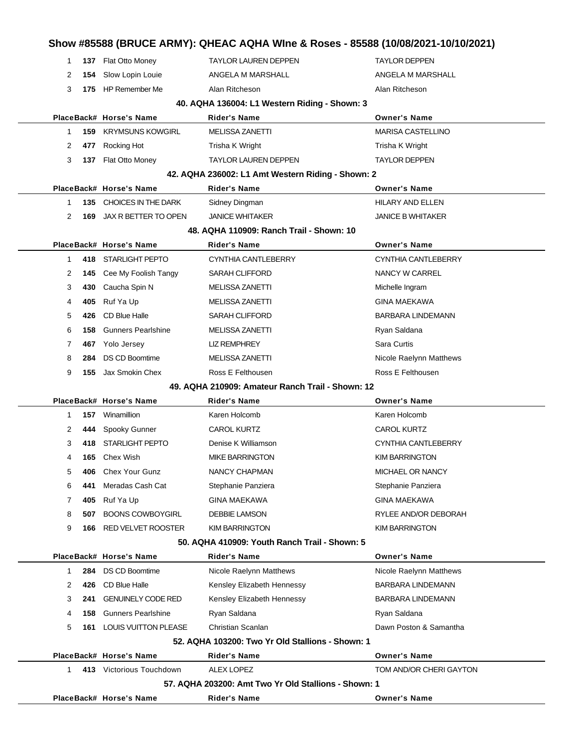| 1            |     | 137 Flat Otto Money             | TAYLOR LAUREN DEPPEN                                 | <b>TAYLOR DEPPEN</b>       |
|--------------|-----|---------------------------------|------------------------------------------------------|----------------------------|
| 2            | 154 | Slow Lopin Louie                | ANGELA M MARSHALL                                    | ANGELA M MARSHALL          |
| 3            |     | 175 HP Remember Me              | Alan Ritcheson                                       | Alan Ritcheson             |
|              |     |                                 | 40. AQHA 136004: L1 Western Riding - Shown: 3        |                            |
|              |     | PlaceBack# Horse's Name         | Rider's Name                                         | <b>Owner's Name</b>        |
| $\mathbf{1}$ | 159 | <b>KRYMSUNS KOWGIRL</b>         | <b>MELISSA ZANETTI</b>                               | <b>MARISA CASTELLINO</b>   |
| 2            | 477 | Rocking Hot                     | Trisha K Wright                                      | Trisha K Wright            |
| 3            | 137 | Flat Otto Money                 | <b>TAYLOR LAUREN DEPPEN</b>                          | <b>TAYLOR DEPPEN</b>       |
|              |     |                                 | 42. AQHA 236002: L1 Amt Western Riding - Shown: 2    |                            |
|              |     | PlaceBack# Horse's Name         | <b>Rider's Name</b>                                  | <b>Owner's Name</b>        |
| 1            | 135 | CHOICES IN THE DARK             | Sidney Dingman                                       | <b>HILARY AND ELLEN</b>    |
| 2            | 169 | JAX R BETTER TO OPEN            | <b>JANICE WHITAKER</b>                               | <b>JANICE B WHITAKER</b>   |
|              |     |                                 | 48. AQHA 110909: Ranch Trail - Shown: 10             |                            |
|              |     | PlaceBack# Horse's Name         | <b>Rider's Name</b>                                  | <b>Owner's Name</b>        |
| 1            |     | 418 STARLIGHT PEPTO             | <b>CYNTHIA CANTLEBERRY</b>                           | <b>CYNTHIA CANTLEBERRY</b> |
| 2            | 145 | Cee My Foolish Tangy            | <b>SARAH CLIFFORD</b>                                | NANCY W CARREL             |
| 3            | 430 | Caucha Spin N                   | <b>MELISSA ZANETTI</b>                               | Michelle Ingram            |
| 4            | 405 | Ruf Ya Up                       | <b>MELISSA ZANETTI</b>                               | <b>GINA MAEKAWA</b>        |
| 5            | 426 | CD Blue Halle                   | <b>SARAH CLIFFORD</b>                                | <b>BARBARA LINDEMANN</b>   |
| 6            | 158 | <b>Gunners Pearlshine</b>       | MELISSA ZANETTI                                      | Ryan Saldana               |
| 7            | 467 | Yolo Jersey                     | <b>LIZ REMPHREY</b>                                  | Sara Curtis                |
| 8            | 284 | <b>DS CD Boomtime</b>           | <b>MELISSA ZANETTI</b>                               | Nicole Raelynn Matthews    |
| 9            | 155 | Jax Smokin Chex                 | Ross E Felthousen                                    | Ross E Felthousen          |
|              |     |                                 | 49. AQHA 210909: Amateur Ranch Trail - Shown: 12     |                            |
|              |     | PlaceBack# Horse's Name         | Rider's Name                                         | <b>Owner's Name</b>        |
| 1            | 157 | Winamillion                     | Karen Holcomb                                        | Karen Holcomb              |
| 2            | 444 | Spooky Gunner                   | <b>CAROL KURTZ</b>                                   | <b>CAROL KURTZ</b>         |
| 3            | 418 | <b>STARLIGHT PEPTO</b>          | Denise K Williamson                                  | CYNTHIA CANTLEBERRY        |
| 4            | 165 | Chex Wish                       | <b>MIKE BARRINGTON</b>                               | <b>KIM BARRINGTON</b>      |
| 5            | 406 | Chex Your Gunz                  | NANCY CHAPMAN                                        | MICHAEL OR NANCY           |
| 6            | 441 | Meradas Cash Cat                | Stephanie Panziera                                   | Stephanie Panziera         |
| 7            | 405 | Ruf Ya Up                       | <b>GINA MAEKAWA</b>                                  | <b>GINA MAEKAWA</b>        |
| 8            | 507 | <b>BOONS COWBOYGIRL</b>         | <b>DEBBIE LAMSON</b>                                 | RYLEE AND/OR DEBORAH       |
| 9            | 166 | <b>RED VELVET ROOSTER</b>       | <b>KIM BARRINGTON</b>                                | <b>KIM BARRINGTON</b>      |
|              |     |                                 | 50. AQHA 410909: Youth Ranch Trail - Shown: 5        |                            |
|              |     | PlaceBack# Horse's Name         | <b>Rider's Name</b>                                  | <b>Owner's Name</b>        |
| 1            | 284 | DS CD Boomtime                  | Nicole Raelynn Matthews                              | Nicole Raelynn Matthews    |
| 2            | 426 | CD Blue Halle                   | Kensley Elizabeth Hennessy                           | <b>BARBARA LINDEMANN</b>   |
| 3            | 241 | <b>GENUINELY CODE RED</b>       | Kensley Elizabeth Hennessy                           | <b>BARBARA LINDEMANN</b>   |
| 4            | 158 | <b>Gunners Pearlshine</b>       | Ryan Saldana                                         | Ryan Saldana               |
| 5            |     | <b>161 LOUIS VUITTON PLEASE</b> | Christian Scanlan                                    | Dawn Poston & Samantha     |
|              |     |                                 | 52. AQHA 103200: Two Yr Old Stallions - Shown: 1     |                            |
|              |     | PlaceBack# Horse's Name         | Rider's Name                                         | <b>Owner's Name</b>        |
| 1            |     | 413 Victorious Touchdown        | <b>ALEX LOPEZ</b>                                    | TOM AND/OR CHERI GAYTON    |
|              |     |                                 | 57. AQHA 203200: Amt Two Yr Old Stallions - Shown: 1 |                            |
|              |     | PlaceBack# Horse's Name         | <b>Rider's Name</b>                                  | <b>Owner's Name</b>        |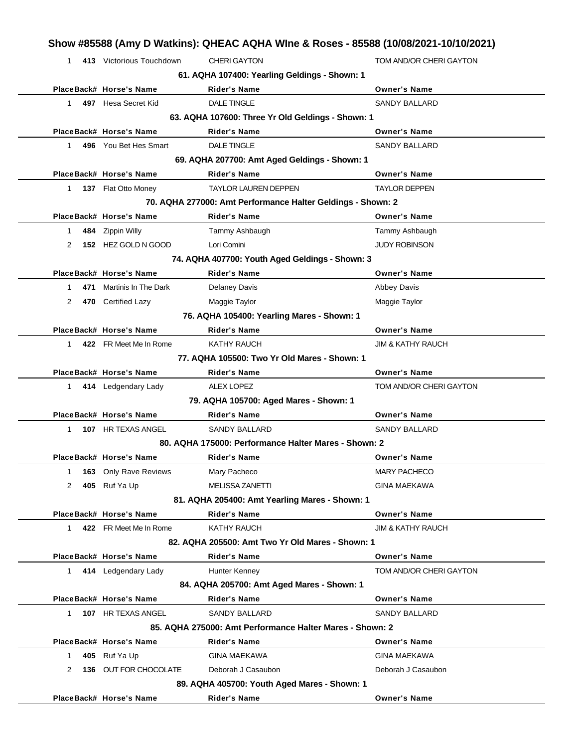| $\mathbf 1$  | 413 Victorious Touchdown   | <b>CHERI GAYTON</b>                                         | TOM AND/OR CHERI GAYTON      |
|--------------|----------------------------|-------------------------------------------------------------|------------------------------|
|              |                            | 61. AQHA 107400: Yearling Geldings - Shown: 1               |                              |
|              | PlaceBack# Horse's Name    | <b>Rider's Name</b>                                         | <b>Owner's Name</b>          |
| 1            | 497 Hesa Secret Kid        | <b>DALE TINGLE</b>                                          | <b>SANDY BALLARD</b>         |
|              |                            | 63. AQHA 107600: Three Yr Old Geldings - Shown: 1           |                              |
|              | PlaceBack# Horse's Name    | <b>Rider's Name</b>                                         | <b>Owner's Name</b>          |
| 1.           | 496 You Bet Hes Smart      | <b>DALE TINGLE</b>                                          | <b>SANDY BALLARD</b>         |
|              |                            | 69. AQHA 207700: Amt Aged Geldings - Shown: 1               |                              |
|              | PlaceBack# Horse's Name    | <b>Rider's Name</b>                                         | <b>Owner's Name</b>          |
| 1            | <b>137</b> Flat Otto Money | <b>TAYLOR LAUREN DEPPEN</b>                                 | <b>TAYLOR DEPPEN</b>         |
|              |                            | 70. AQHA 277000: Amt Performance Halter Geldings - Shown: 2 |                              |
|              | PlaceBack# Horse's Name    | Rider's Name                                                | <b>Owner's Name</b>          |
| 1            | 484 Zippin Willy           | Tammy Ashbaugh                                              | Tammy Ashbaugh               |
| 2            | 152 HEZ GOLD N GOOD        | Lori Comini                                                 | <b>JUDY ROBINSON</b>         |
|              |                            | 74. AQHA 407700: Youth Aged Geldings - Shown: 3             |                              |
|              | PlaceBack# Horse's Name    | <b>Rider's Name</b>                                         | <b>Owner's Name</b>          |
| 1            | 471 Martinis In The Dark   | <b>Delaney Davis</b>                                        | Abbey Davis                  |
| 2            | 470 Certified Lazy         | Maggie Taylor                                               | Maggie Taylor                |
|              |                            | 76. AQHA 105400: Yearling Mares - Shown: 1                  |                              |
|              | PlaceBack# Horse's Name    | <b>Rider's Name</b>                                         | <b>Owner's Name</b>          |
| 1            | 422 FR Meet Me In Rome     | KATHY RAUCH                                                 | <b>JIM &amp; KATHY RAUCH</b> |
|              |                            | 77. AQHA 105500: Two Yr Old Mares - Shown: 1                |                              |
|              | PlaceBack# Horse's Name    | Rider's Name                                                | <b>Owner's Name</b>          |
| 1.           | 414 Ledgendary Lady        | <b>ALEX LOPEZ</b>                                           | TOM AND/OR CHERI GAYTON      |
|              |                            | 79. AQHA 105700: Aged Mares - Shown: 1                      |                              |
|              | PlaceBack# Horse's Name    | Rider's Name                                                | <b>Owner's Name</b>          |
| 1            | 107 HR TEXAS ANGEL         | <b>SANDY BALLARD</b>                                        | <b>SANDY BALLARD</b>         |
|              |                            | 80. AQHA 175000: Performance Halter Mares - Shown: 2        |                              |
|              | PlaceBack# Horse's Name    | Rider's Name                                                | Owner's Name                 |
| 163<br>1     | <b>Only Rave Reviews</b>   | Mary Pacheco                                                | <b>MARY PACHECO</b>          |
| 2<br>405     | Ruf Ya Up                  | <b>MELISSA ZANETTI</b>                                      | <b>GINA MAEKAWA</b>          |
|              |                            | 81. AQHA 205400: Amt Yearling Mares - Shown: 1              |                              |
|              | PlaceBack# Horse's Name    | <b>Rider's Name</b>                                         | <b>Owner's Name</b>          |
| $\mathbf{1}$ | 422 FR Meet Me In Rome     | <b>KATHY RAUCH</b>                                          | JIM & KATHY RAUCH            |
|              |                            | 82. AQHA 205500: Amt Two Yr Old Mares - Shown: 1            |                              |
|              | PlaceBack# Horse's Name    | <b>Rider's Name</b>                                         | <b>Owner's Name</b>          |
| 1            | 414 Ledgendary Lady        | Hunter Kenney                                               | TOM AND/OR CHERI GAYTON      |
|              |                            | 84. AQHA 205700: Amt Aged Mares - Shown: 1                  |                              |
|              | PlaceBack# Horse's Name    | <b>Rider's Name</b>                                         | <b>Owner's Name</b>          |
| 1            | 107 HR TEXAS ANGEL         | <b>SANDY BALLARD</b>                                        | <b>SANDY BALLARD</b>         |
|              |                            | 85. AQHA 275000: Amt Performance Halter Mares - Shown: 2    |                              |
|              | PlaceBack# Horse's Name    | Rider's Name                                                | <b>Owner's Name</b>          |
| 1            | 405 Ruf Ya Up              | <b>GINA MAEKAWA</b>                                         | <b>GINA MAEKAWA</b>          |
|              |                            |                                                             |                              |
| 2            | 136 OUT FOR CHOCOLATE      | Deborah J Casaubon                                          | Deborah J Casaubon           |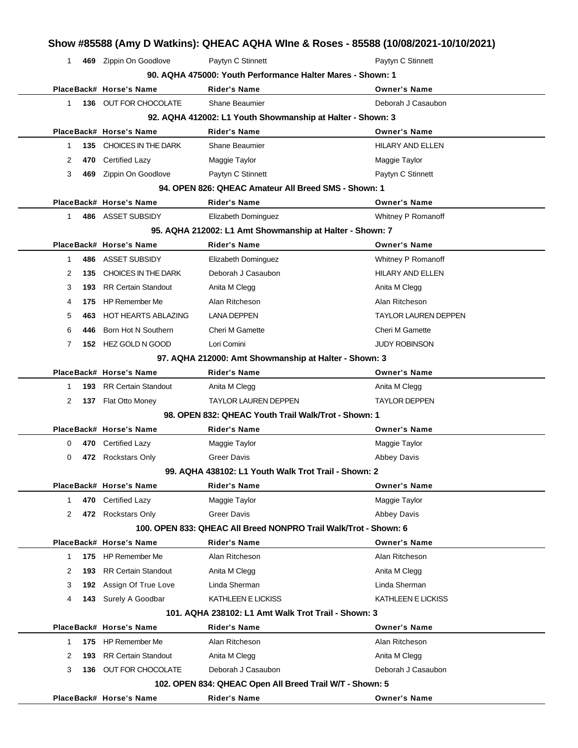| 1.          |       | 469 Zippin On Goodlove     | Paytyn C Stinnett                                                | Paytyn C Stinnett       |
|-------------|-------|----------------------------|------------------------------------------------------------------|-------------------------|
|             |       |                            | 90. AQHA 475000: Youth Performance Halter Mares - Shown: 1       |                         |
|             |       | PlaceBack# Horse's Name    | Rider's Name                                                     | <b>Owner's Name</b>     |
| 1.          |       | 136 OUT FOR CHOCOLATE      | Shane Beaumier                                                   | Deborah J Casaubon      |
|             |       |                            | 92. AQHA 412002: L1 Youth Showmanship at Halter - Shown: 3       |                         |
|             |       | PlaceBack# Horse's Name    | <b>Rider's Name</b>                                              | <b>Owner's Name</b>     |
| 1           |       | 135 CHOICES IN THE DARK    | <b>Shane Beaumier</b>                                            | <b>HILARY AND ELLEN</b> |
| 2           | 470   | Certified Lazy             | Maggie Taylor                                                    | Maggie Taylor           |
| 3           | 469   | Zippin On Goodlove         | Paytyn C Stinnett                                                | Paytyn C Stinnett       |
|             |       |                            | 94. OPEN 826: QHEAC Amateur All Breed SMS - Shown: 1             |                         |
|             |       | PlaceBack# Horse's Name    | Rider's Name                                                     | <b>Owner's Name</b>     |
| 1.          |       | 486 ASSET SUBSIDY          | Elizabeth Dominguez                                              | Whitney P Romanoff      |
|             |       |                            | 95. AQHA 212002: L1 Amt Showmanship at Halter - Shown: 7         |                         |
|             |       | PlaceBack# Horse's Name    | <b>Rider's Name</b>                                              | <b>Owner's Name</b>     |
| 1           |       | 486 ASSET SUBSIDY          | Elizabeth Dominguez                                              | Whitney P Romanoff      |
| 2           | 135   | CHOICES IN THE DARK        | Deborah J Casaubon                                               | <b>HILARY AND ELLEN</b> |
| 3           | 193   | <b>RR Certain Standout</b> | Anita M Clegg                                                    | Anita M Clegg           |
| 4           | 175   | <b>HP Remember Me</b>      | Alan Ritcheson                                                   | Alan Ritcheson          |
| 5           | 463   | <b>HOT HEARTS ABLAZING</b> | <b>LANA DEPPEN</b>                                               | TAYLOR LAUREN DEPPEN    |
| 6           | 446   | Born Hot N Southern        | <b>Cheri M Gamette</b>                                           | Cheri M Gamette         |
| 7           |       | 152 HEZ GOLD N GOOD        | Lori Comini                                                      | <b>JUDY ROBINSON</b>    |
|             |       |                            | 97. AQHA 212000: Amt Showmanship at Halter - Shown: 3            |                         |
|             |       | PlaceBack# Horse's Name    | <b>Rider's Name</b>                                              | <b>Owner's Name</b>     |
| 1           | 193   | <b>RR Certain Standout</b> | Anita M Clegg                                                    | Anita M Clegg           |
| 2           |       | 137 Flat Otto Money        | <b>TAYLOR LAUREN DEPPEN</b>                                      | <b>TAYLOR DEPPEN</b>    |
|             |       |                            | 98. OPEN 832: QHEAC Youth Trail Walk/Trot - Shown: 1             |                         |
|             |       | PlaceBack# Horse's Name    | Rider's Name                                                     | <b>Owner's Name</b>     |
| 0           |       | 470 Certified Lazy         | Maggie Taylor                                                    | Maggie Taylor           |
| 0           | 472   | <b>Rockstars Only</b>      | <b>Greer Davis</b>                                               | Abbey Davis             |
|             |       |                            | 99. AQHA 438102: L1 Youth Walk Trot Trail - Shown: 2             |                         |
|             |       | PlaceBack# Horse's Name    | Rider's Name                                                     | <b>Owner's Name</b>     |
| 1           |       | 470 Certified Lazy         | Maggie Taylor                                                    | Maggie Taylor           |
| 2           |       | 472 Rockstars Only         | <b>Greer Davis</b>                                               | <b>Abbey Davis</b>      |
|             |       |                            | 100. OPEN 833: QHEAC All Breed NONPRO Trail Walk/Trot - Shown: 6 |                         |
|             |       | PlaceBack# Horse's Name    | Rider's Name                                                     | <b>Owner's Name</b>     |
| 1           |       | 175 HP Remember Me         | Alan Ritcheson                                                   | Alan Ritcheson          |
| 2           | 193.  | <b>RR Certain Standout</b> | Anita M Clegg                                                    | Anita M Clegg           |
| 3           |       |                            | Linda Sherman                                                    | Linda Sherman           |
|             | 192   | Assign Of True Love        |                                                                  |                         |
| 4           | 143   | Surely A Goodbar           | KATHLEEN E LICKISS                                               | KATHLEEN E LICKISS      |
|             |       |                            | 101. AQHA 238102: L1 Amt Walk Trot Trail - Shown: 3              |                         |
|             |       | PlaceBack# Horse's Name    | Rider's Name                                                     | <b>Owner's Name</b>     |
| $\mathbf 1$ |       | 175 HP Remember Me         | Alan Ritcheson                                                   | Alan Ritcheson          |
| 2           | 193   | <b>RR Certain Standout</b> | Anita M Clegg                                                    | Anita M Clegg           |
|             |       | OUT FOR CHOCOLATE          | Deborah J Casaubon                                               | Deborah J Casaubon      |
| 3           | 136 - |                            | 102. OPEN 834: QHEAC Open All Breed Trail W/T - Shown: 5         |                         |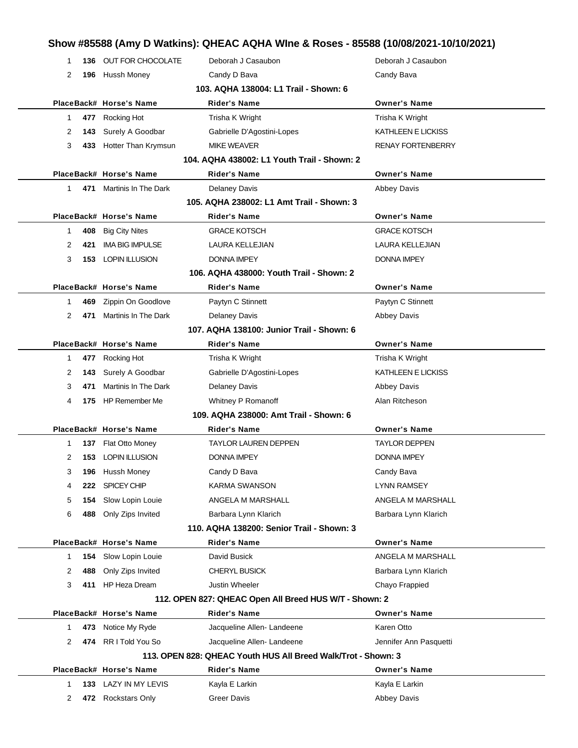# **Show #85588 (Amy D Watkins): QHEAC AQHA WIne & Roses - 85588 (10/08/2021-10/10/2021)**

| -1                                    |     | 136 OUT FOR CHOCOLATE       | Deborah J Casaubon                                            | Deborah J Casaubon       |  |  |  |
|---------------------------------------|-----|-----------------------------|---------------------------------------------------------------|--------------------------|--|--|--|
| 2                                     | 196 | Hussh Money                 | Candy D Bava                                                  | Candy Bava               |  |  |  |
| 103. AQHA 138004: L1 Trail - Shown: 6 |     |                             |                                                               |                          |  |  |  |
|                                       |     | PlaceBack# Horse's Name     | <b>Rider's Name</b>                                           | <b>Owner's Name</b>      |  |  |  |
| 1                                     |     | 477 Rocking Hot             | Trisha K Wright                                               | Trisha K Wright          |  |  |  |
| 2                                     |     | 143 Surely A Goodbar        | Gabrielle D'Agostini-Lopes                                    | KATHLEEN E LICKISS       |  |  |  |
| 3                                     |     | 433 Hotter Than Krymsun     | <b>MIKE WEAVER</b>                                            | <b>RENAY FORTENBERRY</b> |  |  |  |
|                                       |     |                             | 104. AQHA 438002: L1 Youth Trail - Shown: 2                   |                          |  |  |  |
|                                       |     | PlaceBack# Horse's Name     | <b>Rider's Name</b>                                           | <b>Owner's Name</b>      |  |  |  |
| $\mathbf 1$                           |     | 471 Martinis In The Dark    | <b>Delaney Davis</b>                                          | <b>Abbey Davis</b>       |  |  |  |
|                                       |     |                             | 105. AQHA 238002: L1 Amt Trail - Shown: 3                     |                          |  |  |  |
|                                       |     | PlaceBack# Horse's Name     | Rider's Name                                                  | <b>Owner's Name</b>      |  |  |  |
| 1                                     |     | 408 Big City Nites          | <b>GRACE KOTSCH</b>                                           | <b>GRACE KOTSCH</b>      |  |  |  |
| 2                                     | 421 | <b>IMA BIG IMPULSE</b>      | LAURA KELLEJIAN                                               | LAURA KELLEJIAN          |  |  |  |
| 3                                     |     | <b>153 LOPIN ILLUSION</b>   | DONNA IMPEY                                                   | <b>DONNA IMPEY</b>       |  |  |  |
|                                       |     |                             | 106. AQHA 438000: Youth Trail - Shown: 2                      |                          |  |  |  |
|                                       |     | PlaceBack# Horse's Name     | <b>Rider's Name</b>                                           | <b>Owner's Name</b>      |  |  |  |
| -1                                    |     | 469 Zippin On Goodlove      | Paytyn C Stinnett                                             | Paytyn C Stinnett        |  |  |  |
| 2                                     |     | 471 Martinis In The Dark    | <b>Delaney Davis</b>                                          | <b>Abbey Davis</b>       |  |  |  |
|                                       |     |                             | 107. AQHA 138100: Junior Trail - Shown: 6                     |                          |  |  |  |
|                                       |     | PlaceBack# Horse's Name     | Rider's Name                                                  | <b>Owner's Name</b>      |  |  |  |
| 1                                     |     | 477 Rocking Hot             | Trisha K Wright                                               | Trisha K Wright          |  |  |  |
| 2                                     |     | <b>143</b> Surely A Goodbar | Gabrielle D'Agostini-Lopes                                    | KATHLEEN E LICKISS       |  |  |  |
| 3                                     | 471 | Martinis In The Dark        | <b>Delaney Davis</b>                                          | <b>Abbey Davis</b>       |  |  |  |
| 4                                     | 175 | <b>HP Remember Me</b>       | Whitney P Romanoff                                            | Alan Ritcheson           |  |  |  |
|                                       |     |                             | 109. AQHA 238000: Amt Trail - Shown: 6                        |                          |  |  |  |
|                                       |     | PlaceBack# Horse's Name     | Rider's Name                                                  | <b>Owner's Name</b>      |  |  |  |
| 1                                     |     | 137 Flat Otto Money         | <b>TAYLOR LAUREN DEPPEN</b>                                   | <b>TAYLOR DEPPEN</b>     |  |  |  |
| 2                                     |     | 153 LOPIN ILLUSION          | <b>DONNA IMPEY</b>                                            | <b>DONNA IMPEY</b>       |  |  |  |
| 3.                                    |     | 196 Hussh Money             | Candy D Bava                                                  | Candy Bava               |  |  |  |
| 4                                     |     | 222 SPICEY CHIP             | KARMA SWANSON                                                 | LYNN RAMSEY              |  |  |  |
| 5                                     | 154 | Slow Lopin Louie            | ANGELA M MARSHALL                                             | ANGELA M MARSHALL        |  |  |  |
| 6                                     |     | 488 Only Zips Invited       | Barbara Lynn Klarich                                          | Barbara Lynn Klarich     |  |  |  |
|                                       |     |                             | 110. AQHA 138200: Senior Trail - Shown: 3                     |                          |  |  |  |
|                                       |     | PlaceBack# Horse's Name     | Rider's Name                                                  | <b>Owner's Name</b>      |  |  |  |
| $\mathbf 1$                           | 154 | Slow Lopin Louie            | David Busick                                                  | ANGELA M MARSHALL        |  |  |  |
| 2                                     | 488 | Only Zips Invited           | <b>CHERYL BUSICK</b>                                          | Barbara Lynn Klarich     |  |  |  |
| 3                                     | 411 | <b>HP Heza Dream</b>        | Justin Wheeler                                                | Chayo Frappied           |  |  |  |
|                                       |     |                             | 112. OPEN 827: QHEAC Open All Breed HUS W/T - Shown: 2        |                          |  |  |  |
|                                       |     | PlaceBack# Horse's Name     | <b>Rider's Name</b>                                           | <b>Owner's Name</b>      |  |  |  |
| 1                                     |     | 473 Notice My Ryde          | Jacqueline Allen-Landeene                                     | Karen Otto               |  |  |  |
| 2                                     |     | 474 RR I Told You So        | Jacqueline Allen-Landeene                                     | Jennifer Ann Pasquetti   |  |  |  |
|                                       |     |                             | 113. OPEN 828: QHEAC Youth HUS All Breed Walk/Trot - Shown: 3 |                          |  |  |  |
|                                       |     | PlaceBack# Horse's Name     | <b>Rider's Name</b>                                           | <b>Owner's Name</b>      |  |  |  |
| 1                                     |     | 133 LAZY IN MY LEVIS        | Kayla E Larkin                                                | Kayla E Larkin           |  |  |  |
| 2                                     |     | 472 Rockstars Only          | Greer Davis                                                   | <b>Abbey Davis</b>       |  |  |  |
|                                       |     |                             |                                                               |                          |  |  |  |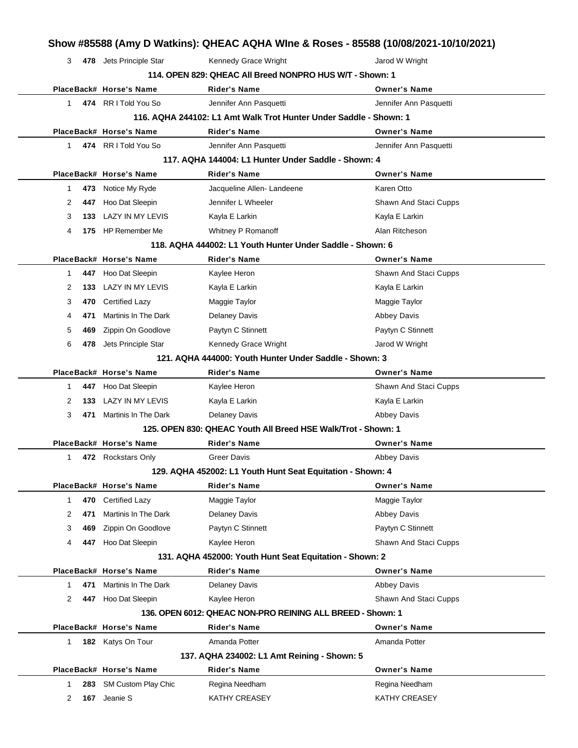|              |                                                          |                         |                                                                   | Show #85588 (Amy D Watkins): QHEAC AQHA WIne & Roses - 85588 (10/08/2021-10/10/2021) |  |  |  |
|--------------|----------------------------------------------------------|-------------------------|-------------------------------------------------------------------|--------------------------------------------------------------------------------------|--|--|--|
|              | 3                                                        | 478 Jets Principle Star | Kennedy Grace Wright                                              | Jarod W Wright                                                                       |  |  |  |
|              | 114. OPEN 829: QHEAC All Breed NONPRO HUS W/T - Shown: 1 |                         |                                                                   |                                                                                      |  |  |  |
|              |                                                          | PlaceBack# Horse's Name | Rider's Name                                                      | <b>Owner's Name</b>                                                                  |  |  |  |
|              | $\mathbf 1$                                              | 474 RR I Told You So    | Jennifer Ann Pasquetti                                            | Jennifer Ann Pasquetti                                                               |  |  |  |
|              |                                                          |                         | 116. AQHA 244102: L1 Amt Walk Trot Hunter Under Saddle - Shown: 1 |                                                                                      |  |  |  |
|              |                                                          | PlaceBack# Horse's Name | <b>Rider's Name</b>                                               | <b>Owner's Name</b>                                                                  |  |  |  |
| 1            |                                                          | 474 RRITold You So      | Jennifer Ann Pasquetti                                            | Jennifer Ann Pasquetti                                                               |  |  |  |
|              |                                                          |                         | 117. AQHA 144004: L1 Hunter Under Saddle - Shown: 4               |                                                                                      |  |  |  |
|              |                                                          | PlaceBack# Horse's Name | <b>Rider's Name</b>                                               | <b>Owner's Name</b>                                                                  |  |  |  |
| 1            | 473                                                      | Notice My Ryde          | Jacqueline Allen-Landeene                                         | Karen Otto                                                                           |  |  |  |
| 2            | 447                                                      | Hoo Dat Sleepin         | Jennifer L Wheeler                                                | Shawn And Staci Cupps                                                                |  |  |  |
| 3            | 133                                                      | LAZY IN MY LEVIS        | Kayla E Larkin                                                    | Kayla E Larkin                                                                       |  |  |  |
| 4            |                                                          | 175 HP Remember Me      | Whitney P Romanoff                                                | Alan Ritcheson                                                                       |  |  |  |
|              |                                                          |                         | 118. AQHA 444002: L1 Youth Hunter Under Saddle - Shown: 6         |                                                                                      |  |  |  |
|              |                                                          | PlaceBack# Horse's Name | Rider's Name                                                      | <b>Owner's Name</b>                                                                  |  |  |  |
| 1            |                                                          | 447 Hoo Dat Sleepin     | Kaylee Heron                                                      | Shawn And Staci Cupps                                                                |  |  |  |
| 2            | 133                                                      | LAZY IN MY LEVIS        | Kayla E Larkin                                                    | Kayla E Larkin                                                                       |  |  |  |
| 3            | 470                                                      | <b>Certified Lazy</b>   | Maggie Taylor                                                     | Maggie Taylor                                                                        |  |  |  |
| 4            | 471                                                      | Martinis In The Dark    | Delaney Davis                                                     | <b>Abbey Davis</b>                                                                   |  |  |  |
| 5            | 469                                                      | Zippin On Goodlove      | Paytyn C Stinnett                                                 | Paytyn C Stinnett                                                                    |  |  |  |
| 6            | 478                                                      | Jets Principle Star     | Kennedy Grace Wright                                              | Jarod W Wright                                                                       |  |  |  |
|              |                                                          |                         | 121. AQHA 444000: Youth Hunter Under Saddle - Shown: 3            |                                                                                      |  |  |  |
|              |                                                          | PlaceBack# Horse's Name | Rider's Name                                                      | <b>Owner's Name</b>                                                                  |  |  |  |
| 1            | 447                                                      | Hoo Dat Sleepin         | Kaylee Heron                                                      | Shawn And Staci Cupps                                                                |  |  |  |
| 2            | 133                                                      | LAZY IN MY LEVIS        | Kayla E Larkin                                                    | Kayla E Larkin                                                                       |  |  |  |
| 3            | 471                                                      | Martinis In The Dark    | <b>Delaney Davis</b>                                              | <b>Abbey Davis</b>                                                                   |  |  |  |
|              |                                                          |                         | 125. OPEN 830: QHEAC Youth All Breed HSE Walk/Trot - Shown: 1     |                                                                                      |  |  |  |
|              |                                                          | PlaceBack# Horse's Name | Rider's Name                                                      | <b>Owner's Name</b>                                                                  |  |  |  |
| 1            |                                                          | 472 Rockstars Only      | <b>Greer Davis</b>                                                | <b>Abbey Davis</b>                                                                   |  |  |  |
|              |                                                          |                         | 129. AQHA 452002: L1 Youth Hunt Seat Equitation - Shown: 4        |                                                                                      |  |  |  |
|              |                                                          | PlaceBack# Horse's Name | Rider's Name                                                      | <b>Owner's Name</b>                                                                  |  |  |  |
| 1            | 470                                                      | <b>Certified Lazy</b>   | Maggie Taylor                                                     | Maggie Taylor                                                                        |  |  |  |
|              | 2<br>471                                                 | Martinis In The Dark    | Delaney Davis                                                     | <b>Abbey Davis</b>                                                                   |  |  |  |
| 3            | 469                                                      | Zippin On Goodlove      | Paytyn C Stinnett                                                 | Paytyn C Stinnett                                                                    |  |  |  |
| 4            | 447                                                      | Hoo Dat Sleepin         | Kaylee Heron                                                      | Shawn And Staci Cupps                                                                |  |  |  |
|              |                                                          |                         | 131. AQHA 452000: Youth Hunt Seat Equitation - Shown: 2           |                                                                                      |  |  |  |
|              |                                                          | PlaceBack# Horse's Name | <b>Rider's Name</b>                                               | <b>Owner's Name</b>                                                                  |  |  |  |
| $\mathbf{1}$ | 471                                                      | Martinis In The Dark    | Delaney Davis                                                     | Abbey Davis                                                                          |  |  |  |
|              | 2<br>447                                                 | Hoo Dat Sleepin         | Kaylee Heron                                                      | Shawn And Staci Cupps                                                                |  |  |  |
|              |                                                          |                         | 136. OPEN 6012: QHEAC NON-PRO REINING ALL BREED - Shown: 1        |                                                                                      |  |  |  |
|              |                                                          | PlaceBack# Horse's Name | <b>Rider's Name</b>                                               | <b>Owner's Name</b>                                                                  |  |  |  |
| $\mathbf{1}$ |                                                          | 182 Katys On Tour       | Amanda Potter                                                     | Amanda Potter                                                                        |  |  |  |
|              |                                                          |                         | 137. AQHA 234002: L1 Amt Reining - Shown: 5                       |                                                                                      |  |  |  |
|              |                                                          | PlaceBack# Horse's Name | <b>Rider's Name</b>                                               | <b>Owner's Name</b>                                                                  |  |  |  |
| 1            | 283                                                      | SM Custom Play Chic     | Regina Needham                                                    | Regina Needham                                                                       |  |  |  |
|              | 2<br>167                                                 | Jeanie S                | KATHY CREASEY                                                     | KATHY CREASEY                                                                        |  |  |  |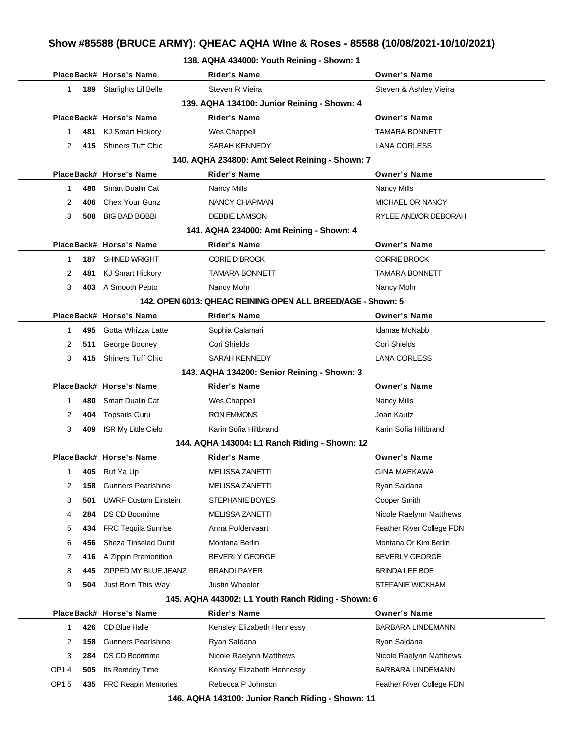#### **138. AQHA 434000: Youth Reining - Shown: 1**

|                                             |                                                             | PlaceBack# Horse's Name     | <b>Rider's Name</b>                                | <b>Owner's Name</b>       |  |  |  |  |  |  |
|---------------------------------------------|-------------------------------------------------------------|-----------------------------|----------------------------------------------------|---------------------------|--|--|--|--|--|--|
| 1                                           |                                                             | 189 Starlights Lil Belle    | Steven R Vieira                                    | Steven & Ashley Vieira    |  |  |  |  |  |  |
| 139. AQHA 134100: Junior Reining - Shown: 4 |                                                             |                             |                                                    |                           |  |  |  |  |  |  |
|                                             |                                                             | PlaceBack# Horse's Name     | <b>Rider's Name</b>                                | <b>Owner's Name</b>       |  |  |  |  |  |  |
| 1                                           | 481                                                         | <b>KJ Smart Hickory</b>     | Wes Chappell                                       | TAMARA BONNETT            |  |  |  |  |  |  |
| 2                                           | 415                                                         | <b>Shiners Tuff Chic</b>    | SARAH KENNEDY                                      | <b>LANA CORLESS</b>       |  |  |  |  |  |  |
|                                             | 140. AQHA 234800: Amt Select Reining - Shown: 7             |                             |                                                    |                           |  |  |  |  |  |  |
|                                             |                                                             | PlaceBack# Horse's Name     | <b>Rider's Name</b>                                | <b>Owner's Name</b>       |  |  |  |  |  |  |
| 1                                           | 480                                                         | <b>Smart Dualin Cat</b>     | <b>Nancy Mills</b>                                 | <b>Nancy Mills</b>        |  |  |  |  |  |  |
| 2                                           | 406                                                         | <b>Chex Your Gunz</b>       | NANCY CHAPMAN                                      | MICHAEL OR NANCY          |  |  |  |  |  |  |
| 3                                           | 508                                                         | <b>BIG BAD BOBBI</b>        | <b>DEBBIE LAMSON</b>                               | RYLEE AND/OR DEBORAH      |  |  |  |  |  |  |
| 141. AQHA 234000: Amt Reining - Shown: 4    |                                                             |                             |                                                    |                           |  |  |  |  |  |  |
|                                             |                                                             | PlaceBack# Horse's Name     | <b>Rider's Name</b>                                | <b>Owner's Name</b>       |  |  |  |  |  |  |
| 1                                           |                                                             | 187 SHINED WRIGHT           | <b>CORIE D BROCK</b>                               | <b>CORRIE BROCK</b>       |  |  |  |  |  |  |
| 2                                           | 481                                                         | <b>KJ Smart Hickory</b>     | <b>TAMARA BONNETT</b>                              | TAMARA BONNETT            |  |  |  |  |  |  |
| 3                                           |                                                             | 403 A Smooth Pepto          | Nancy Mohr                                         | Nancy Mohr                |  |  |  |  |  |  |
|                                             | 142. OPEN 6013: QHEAC REINING OPEN ALL BREED/AGE - Shown: 5 |                             |                                                    |                           |  |  |  |  |  |  |
|                                             |                                                             | PlaceBack# Horse's Name     | Rider's Name                                       | <b>Owner's Name</b>       |  |  |  |  |  |  |
| 1                                           | 495                                                         | Gotta Whizza Latte          | Sophia Calamari                                    | Idamae McNabb             |  |  |  |  |  |  |
| 2                                           | 511                                                         | George Booney               | Cori Shields                                       | Cori Shields              |  |  |  |  |  |  |
| 3                                           | 415                                                         | <b>Shiners Tuff Chic</b>    | SARAH KENNEDY                                      | <b>LANA CORLESS</b>       |  |  |  |  |  |  |
|                                             | 143. AQHA 134200: Senior Reining - Shown: 3                 |                             |                                                    |                           |  |  |  |  |  |  |
|                                             |                                                             | PlaceBack# Horse's Name     | <b>Rider's Name</b>                                | <b>Owner's Name</b>       |  |  |  |  |  |  |
| 1                                           | 480                                                         | <b>Smart Dualin Cat</b>     | Wes Chappell                                       | <b>Nancy Mills</b>        |  |  |  |  |  |  |
| 2                                           | 404                                                         | <b>Topsails Guru</b>        | <b>RON EMMONS</b>                                  | Joan Kautz                |  |  |  |  |  |  |
| 3                                           | 409                                                         | <b>ISR My Little Cielo</b>  | Karin Sofia Hiltbrand                              | Karin Sofia Hiltbrand     |  |  |  |  |  |  |
|                                             |                                                             |                             | 144. AQHA 143004: L1 Ranch Riding - Shown: 12      |                           |  |  |  |  |  |  |
|                                             |                                                             | PlaceBack# Horse's Name     | Rider's Name                                       | <b>Owner's Name</b>       |  |  |  |  |  |  |
| 1                                           | 405                                                         | Ruf Ya Up                   | <b>MELISSA ZANETTI</b>                             | <b>GINA MAEKAWA</b>       |  |  |  |  |  |  |
| 2                                           | 158                                                         | <b>Gunners Pearlshine</b>   | MELISSA ZANETTI                                    | Rvan Saldana              |  |  |  |  |  |  |
| 3                                           | 501                                                         | <b>UWRF Custom Einstein</b> | STEPHANIE BOYES                                    | Cooper Smith              |  |  |  |  |  |  |
| 4                                           | 284                                                         | <b>DS CD Boomtime</b>       | MELISSA ZANETTI                                    | Nicole Raelynn Matthews   |  |  |  |  |  |  |
| 5                                           | 434                                                         | <b>FRC Tequila Sunrise</b>  | Anna Poldervaart                                   | Feather River College FDN |  |  |  |  |  |  |
| 6                                           | 456                                                         | <b>Sheza Tinseled Dunit</b> | Montana Berlin                                     | Montana Or Kim Berlin     |  |  |  |  |  |  |
| 7                                           | 416                                                         | A Zippin Premonition        | <b>BEVERLY GEORGE</b>                              | BEVERLY GEORGE            |  |  |  |  |  |  |
| 8                                           | 445                                                         | ZIPPED MY BLUE JEANZ        | <b>BRANDI PAYER</b>                                | <b>BRINDA LEE BOE</b>     |  |  |  |  |  |  |
| 9                                           | 504                                                         | Just Born This Way          | Justin Wheeler                                     | <b>STEFANIE WICKHAM</b>   |  |  |  |  |  |  |
|                                             |                                                             |                             | 145. AQHA 443002: L1 Youth Ranch Riding - Shown: 6 |                           |  |  |  |  |  |  |
|                                             |                                                             | PlaceBack# Horse's Name     | <b>Rider's Name</b>                                | <b>Owner's Name</b>       |  |  |  |  |  |  |
| 1                                           | 426                                                         | CD Blue Halle               | Kensley Elizabeth Hennessy                         | BARBARA LINDEMANN         |  |  |  |  |  |  |
| 2                                           | 158                                                         | <b>Gunners Pearlshine</b>   | Ryan Saldana                                       | Ryan Saldana              |  |  |  |  |  |  |
| 3                                           |                                                             | 284 DS CD Boomtime          | Nicole Raelynn Matthews                            | Nicole Raelynn Matthews   |  |  |  |  |  |  |

**146. AQHA 143100: Junior Ranch Riding - Shown: 11**

OP1 4 **505** Its Remedy Time Kensley Elizabeth Hennessy **BARBARA LINDEMANN** OP1 5 435 FRC Reapin Memories Rebecca P Johnson Feather River College FDN